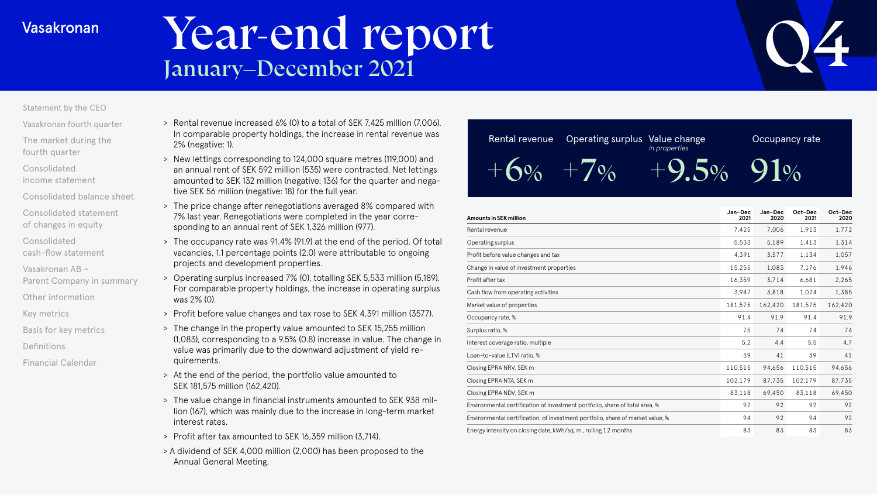# Vear-end report Q4



# [Statement by the CEO](#page-1-0)

[Vasakronan fourth quarter](#page-3-0)

[The market during the](#page-4-0)  fourth quarter

Consolidated [income statement](#page-6-0)

[Consolidated balance sheet](#page-11-0)

[Consolidated statement](#page-16-0)  of changes in equity

Consolidated [cash-flow statement](#page-17-0)

Vasakronan AB –

[Parent Company in summary](#page-20-0)

[Other information](#page-21-0)

[Key metrics](#page-22-0)

[Basis for key metrics](#page-23-0)

[Definitions](#page-24-0)

[Financial Calendar](#page-25-0)

- > Rental revenue increased 6% (0) to a total of SEK 7,425 million (7,006). In comparable property holdings, the increase in rental revenue was 2% (negative: 1).
- > New lettings corresponding to 124,000 square metres (119,000) and an annual rent of SEK 592 million (535) were contracted. Net lettings amounted to SEK 132 million (negative: 136) for the quarter and negative SEK 56 million (negative: 18) for the full year.
- > The price change after renegotiations averaged 8% compared with 7% last year. Renegotiations were completed in the year corresponding to an annual rent of SEK 1,326 million (977).
- > The occupancy rate was 91.4% (91.9) at the end of the period. Of total vacancies, 1.1 percentage points (2.0) were attributable to ongoing projects and development properties.
- > Operating surplus increased 7% (0), totalling SEK 5,533 million (5,189). For comparable property holdings, the increase in operating surplus was 2% (0).
- > Profit before value changes and tax rose to SEK 4,391 million (3577).
- > The change in the property value amounted to SEK 15,255 million (1,083), corresponding to a 9.5% (0.8) increase in value. The change in value was primarily due to the downward adjustment of yield requirements.
- > At the end of the period, the portfolio value amounted to SEK 181,575 million (162,420).
- > The value change in financial instruments amounted to SEK 938 million (167), which was mainly due to the increase in long-term market interest rates.
- > Profit after tax amounted to SEK 16,359 million (3,714).
- > A dividend of SEK 4,000 million (2,000) has been proposed to the Annual General Meeting.

| Rental revenue             | Operating surplus Value change | in properties | Occupancy rate |
|----------------------------|--------------------------------|---------------|----------------|
| $+\biggarrow{\infty}$ + 7% |                                | $+9.5\%$ 91%  |                |

| <b>Amounts in SEK million</b>                                                  | Jan-Dec<br>2021 | Jan-Dec<br>2020 | Oct-Dec<br>2021 | Oct-Dec<br>2020 |
|--------------------------------------------------------------------------------|-----------------|-----------------|-----------------|-----------------|
| Rental revenue                                                                 | 7,425           | 7,006           | 1.913           | 1,772           |
| Operating surplus                                                              | 5.533           | 5,189           | 1,413           | 1,314           |
| Profit before value changes and tax                                            | 4.391           | 3.577           | 1.134           | 1,057           |
| Change in value of investment properties                                       | 15,255          | 1.083           | 7.176           | 1,946           |
| Profit after tax                                                               | 16,359          | 3,714           | 6,681           | 2,265           |
| Cash flow from operating activities                                            | 3,947           | 3,818           | 1,024           | 1,385           |
| Market value of properties                                                     | 181,575         | 162,420         | 181,575         | 162,420         |
| Occupancy rate, %                                                              | 91.4            | 91.9            | 91.4            | 91.9            |
| Surplus ratio, %                                                               | 75              | 74              | 74              | 74              |
| Interest coverage ratio, multiple                                              | 5.2             | 4.4             | 5.5             | 4.7             |
| Loan-to-value (LTV) ratio, %                                                   | 39              | 41              | 39              | 41              |
| Closing EPRA NRV, SEK m                                                        | 110,515         | 94,656          | 110,515         | 94,656          |
| Closing EPRA NTA, SEK m                                                        | 102,179         | 87,735          | 102,179         | 87,735          |
| Closing EPRA NDV, SEK m                                                        | 83,118          | 69,450          | 83.118          | 69,450          |
| Environmental certification of investment portfolio, share of total area, %    | 92              | 92              | 92              | 92              |
| Environmental certification, of investment portfolio, share of market value, % | 94              | 92              | 94              | 92              |
| Energy intensity on closing date, kWh/sq. m., rolling 12 months                | 83              | 83              | 83              | 83              |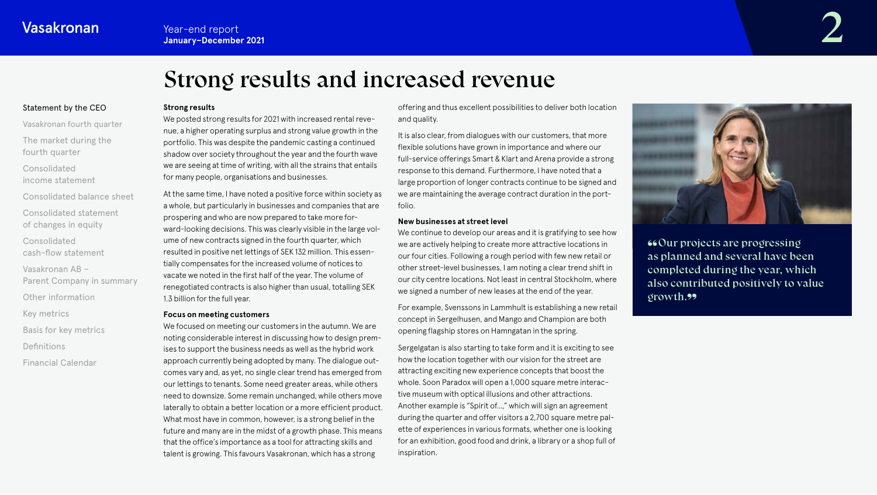# Strong results and increased revenue

# <span id="page-1-0"></span>Statement by the CEO

[Vasakronan fourth quarter](#page-3-0) [The market during the](#page-4-0) 

fourth quarter

Consolidated [income statement](#page-6-0)

[Consolidated balance sheet](#page-11-0) [Consolidated statement](#page-16-0) 

of changes in equity

Consolidated

[cash-flow statement](#page-17-0)

Vasakronan AB –

[Parent Company in summary](#page-20-0)

[Other information](#page-21-0)

[Key metrics](#page-22-0)

[Basis for key metrics](#page-23-0)

[Definitions](#page-24-0)

[Financial Calendar](#page-25-0)

#### **Strong results**

We posted strong results for 2021 with increased rental revenue, a higher operating surplus and strong value growth in the portfolio. This was despite the pandemic casting a continued shadow over society throughout the year and the fourth wave we are seeing at time of writing, with all the strains that entails for many people, organisations and businesses.

At the same time, I have noted a positive force within society as a whole, but particularly in businesses and companies that are prospering and who are now prepared to take more forward-looking decisions. This was clearly visible in the large volume of new contracts signed in the fourth quarter, which resulted in positive net lettings of SEK 132 million. This essentially compensates for the increased volume of notices to vacate we noted in the first half of the year. The volume of renegotiated contracts is also higher than usual, totalling SEK 1.3 billion for the full year.

#### **Focus on meeting customers**

We focused on meeting our customers in the autumn. We are noting considerable interest in discussing how to design premises to support the business needs as well as the hybrid work approach currently being adopted by many. The dialogue outcomes vary and, as yet, no single clear trend has emerged from our lettings to tenants. Some need greater areas, while others need to downsize. Some remain unchanged, while others move laterally to obtain a better location or a more efficient product. What most have in common, however, is a strong belief in the future and many are in the midst of a growth phase. This means that the office's importance as a tool for attracting skills and talent is growing. This favours Vasakronan, which has a strong

offering and thus excellent possibilities to deliver both location and quality.

It is also clear, from dialogues with our customers, that more flexible solutions have grown in importance and where our full-service offerings Smart & Klart and Arena provide a strong response to this demand. Furthermore, I have noted that a large proportion of longer contracts continue to be signed and we are maintaining the average contract duration in the portfolio.

#### **New businesses at street level**

We continue to develop our areas and it is gratifying to see how we are actively helping to create more attractive locations in our four cities. Following a rough period with few new retail or other street-level businesses, I am noting a clear trend shift in our city centre locations. Not least in central Stockholm, where we signed a number of new leases at the end of the year.

For example, Svenssons in Lammhult is establishing a new retail concept in Sergelhusen, and Mango and Champion are both opening flagship stores on Hamngatan in the spring.

Sergelgatan is also starting to take form and it is exciting to see how the location together with our vision for the street are attracting exciting new experience concepts that boost the whole. Soon Paradox will open a 1,000 square metre interactive museum with optical illusions and other attractions. Another example is "Spirit of...," which will sign an agreement during the quarter and offer visitors a 2,700 square metre palette of experiences in various formats, whether one is looking for an exhibition, good food and drink, a library or a shop full of inspiration.



""Our projects are progressing as planned and several have been completed during the year, which also contributed positively to value growth.<sup>99</sup>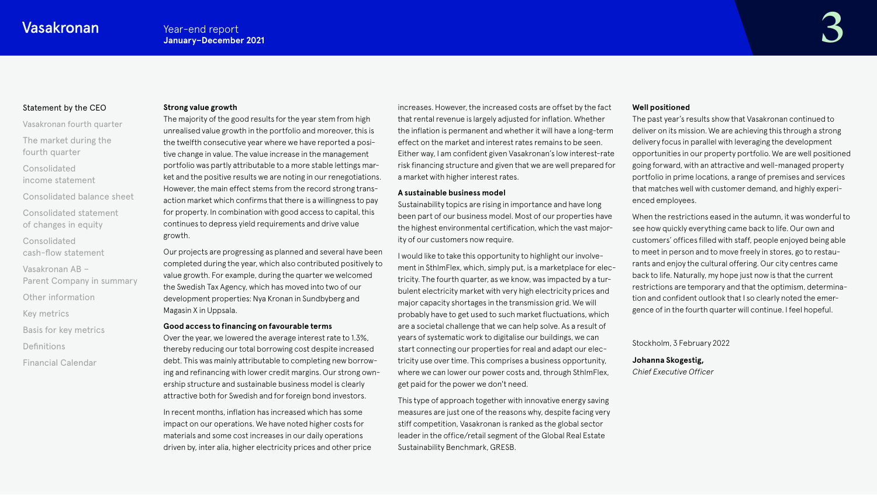# [Statement by the CEO](#page-1-0)

[Vasakronan fourth quarter](#page-3-0) [The market during the](#page-4-0)  fourth quarter

Consolidated [income statement](#page-6-0)

[Consolidated balance sheet](#page-11-0)

[Consolidated statement](#page-16-0)  of changes in equity

Consolidated

[cash-flow statement](#page-17-0)

Vasakronan AB –

[Parent Company in summary](#page-20-0)

[Other information](#page-21-0)

[Key metrics](#page-22-0)

[Basis for key metrics](#page-23-0)

[Definitions](#page-24-0)

[Financial Calendar](#page-25-0)

#### **Strong value growth**

The majority of the good results for the year stem from high unrealised value growth in the portfolio and moreover, this is the twelfth consecutive year where we have reported a positive change in value. The value increase in the management portfolio was partly attributable to a more stable lettings market and the positive results we are noting in our renegotiations. However, the main effect stems from the record strong transaction market which confirms that there is a willingness to pay for property. In combination with good access to capital, this continues to depress yield requirements and drive value growth.

Our projects are progressing as planned and several have been completed during the year, which also contributed positively to value growth. For example, during the quarter we welcomed the Swedish Tax Agency, which has moved into two of our development properties: Nya Kronan in Sundbyberg and Magasin X in Uppsala.

### **Good access to financing on favourable terms**

Over the year, we lowered the average interest rate to 1.3%, thereby reducing our total borrowing cost despite increased debt. This was mainly attributable to completing new borrowing and refinancing with lower credit margins. Our strong ownership structure and sustainable business model is clearly attractive both for Swedish and for foreign bond investors.

In recent months, inflation has increased which has some impact on our operations. We have noted higher costs for materials and some cost increases in our daily operations driven by, inter alia, higher electricity prices and other price increases. However, the increased costs are offset by the fact that rental revenue is largely adjusted for inflation. Whether the inflation is permanent and whether it will have a long-term effect on the market and interest rates remains to be seen. Either way, I am confident given Vasakronan's low interest-rate risk financing structure and given that we are well prepared for a market with higher interest rates.

#### **A sustainable business model**

Sustainability topics are rising in importance and have long been part of our business model. Most of our properties have the highest environmental certification, which the vast majority of our customers now require.

I would like to take this opportunity to highlight our involvement in SthlmFlex, which, simply put, is a marketplace for electricity. The fourth quarter, as we know, was impacted by a turbulent electricity market with very high electricity prices and major capacity shortages in the transmission grid. We will probably have to get used to such market fluctuations, which are a societal challenge that we can help solve. As a result of years of systematic work to digitalise our buildings, we can start connecting our properties for real and adapt our electricity use over time. This comprises a business opportunity, where we can lower our power costs and, through SthlmFlex, get paid for the power we don't need.

This type of approach together with innovative energy saving measures are just one of the reasons why, despite facing very stiff competition, Vasakronan is ranked as the global sector leader in the office/retail segment of the Global Real Estate Sustainability Benchmark, GRESB.

#### **Well positioned**

The past year's results show that Vasakronan continued to deliver on its mission. We are achieving this through a strong delivery focus in parallel with leveraging the development opportunities in our property portfolio. We are well positioned going forward, with an attractive and well-managed property portfolio in prime locations, a range of premises and services that matches well with customer demand, and highly experienced employees.

When the restrictions eased in the autumn, it was wonderful to see how quickly everything came back to life. Our own and customers' offices filled with staff, people enjoyed being able to meet in person and to move freely in stores, go to restaurants and enjoy the cultural offering. Our city centres came back to life. Naturally, my hope just now is that the current restrictions are temporary and that the optimism, determination and confident outlook that I so clearly noted the emergence of in the fourth quarter will continue. I feel hopeful.

Stockholm, 3 February 2022

**Johanna Skogestig,**  *Chief Executive Officer*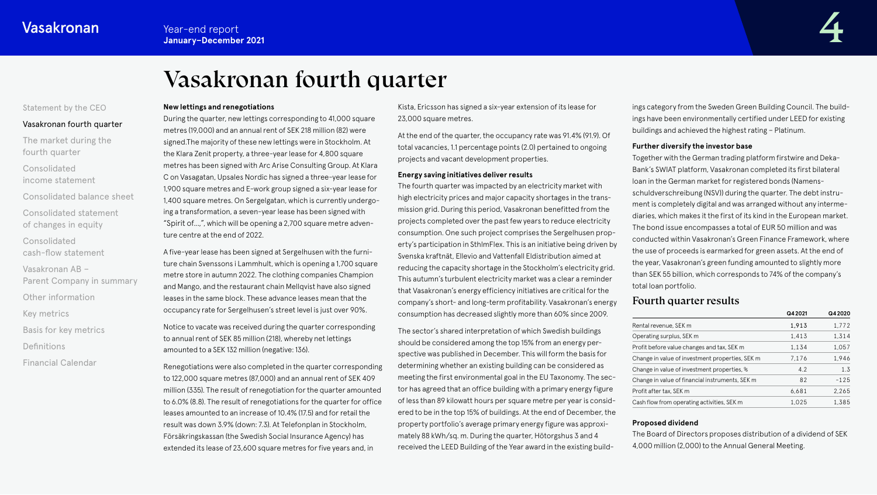# Vasakronan fourth quarter

# <span id="page-3-0"></span>[Statement by the CEO](#page-1-0)

#### Vasakronan fourth quarter

[The market during the](#page-4-0)  fourth quarter

Consolidated [income statement](#page-6-0)

[Consolidated balance sheet](#page-11-0) [Consolidated statement](#page-16-0)  of changes in equity

Consolidated

[cash-flow statement](#page-17-0)

Vasakronan AB –

[Parent Company in summary](#page-20-0)

[Other information](#page-21-0)

[Key metrics](#page-22-0)

[Basis for key metrics](#page-23-0)

[Definitions](#page-24-0)

[Financial Calendar](#page-25-0)

#### **New lettings and renegotiations**

During the quarter, new lettings corresponding to 41,000 square metres (19,000) and an annual rent of SEK 218 million (82) were signed.The majority of these new lettings were in Stockholm. At the Klara Zenit property, a three-year lease for 4,800 square metres has been signed with Arc Arise Consulting Group. At Klara C on Vasagatan, Upsales Nordic has signed a three-year lease for 1,900 square metres and E-work group signed a six-year lease for 1,400 square metres. On Sergelgatan, which is currently undergoing a transformation, a seven-year lease has been signed with "Spirit of...,", which will be opening a 2,700 square metre adventure centre at the end of 2022.

A five-year lease has been signed at Sergelhusen with the furniture chain Svenssons i Lammhult, which is opening a 1,700 square metre store in autumn 2022. The clothing companies Champion and Mango, and the restaurant chain Mellqvist have also signed leases in the same block. These advance leases mean that the occupancy rate for Sergelhusen's street level is just over 90%.

Notice to vacate was received during the quarter corresponding to annual rent of SEK 85 million (218), whereby net lettings amounted to a SEK 132 million (negative: 136).

Renegotiations were also completed in the quarter corresponding to 122,000 square metres (87,000) and an annual rent of SEK 409 million (335). The result of renegotiation for the quarter amounted to 6.0% (8.8). The result of renegotiations for the quarter for office leases amounted to an increase of 10.4% (17.5) and for retail the result was down 3.9% (down: 7.3). At Telefonplan in Stockholm, Försäkringskassan (the Swedish Social Insurance Agency) has extended its lease of 23,600 square metres for five years and, in

Kista, Ericsson has signed a six-year extension of its lease for 23,000 square metres.

At the end of the quarter, the occupancy rate was 91.4% (91.9). Of total vacancies, 1.1 percentage points (2.0) pertained to ongoing projects and vacant development properties.

#### **Energy saving initiatives deliver results**

The fourth quarter was impacted by an electricity market with high electricity prices and major capacity shortages in the transmission grid. During this period, Vasakronan benefitted from the projects completed over the past few years to reduce electricity consumption. One such project comprises the Sergelhusen property's participation in SthlmFlex. This is an initiative being driven by Svenska kraftnät, Ellevio and Vattenfall Eldistribution aimed at reducing the capacity shortage in the Stockholm's electricity grid. This autumn's turbulent electricity market was a clear a reminder that Vasakronan's energy efficiency initiatives are critical for the company's short- and long-term profitability. Vasakronan's energy consumption has decreased slightly more than 60% since 2009.

The sector's shared interpretation of which Swedish buildings should be considered among the top 15% from an energy perspective was published in December. This will form the basis for determining whether an existing building can be considered as meeting the first environmental goal in the EU Taxonomy. The sector has agreed that an office building with a primary energy figure of less than 89 kilowatt hours per square metre per year is considered to be in the top 15% of buildings. At the end of December, the property portfolio's average primary energy figure was approximately 88 kWh/sq. m. During the quarter, Hötorgshus 3 and 4 received the LEED Building of the Year award in the existing buildings category from the Sweden Green Building Council. The buildings have been environmentally certified under LEED for existing buildings and achieved the highest rating – Platinum.

#### **Further diversify the investor base**

Together with the German trading platform firstwire and Deka-Bank's SWIAT platform, Vasakronan completed its first bilateral loan in the German market for registered bonds (Namensschuldverschreibung (NSV)) during the quarter. The debt instrument is completely digital and was arranged without any intermediaries, which makes it the first of its kind in the European market. The bond issue encompasses a total of EUR 50 million and was conducted within Vasakronan's Green Finance Framework, where the use of proceeds is earmarked for green assets. At the end of the year, Vasakronan's green funding amounted to slightly more than SEK 55 billion, which corresponds to 74% of the company's total loan portfolio.

# Fourth quarter results

|                                                  | Q4 2021 | Q42020 |
|--------------------------------------------------|---------|--------|
| Rental revenue, SEK m                            | 1,913   | 1,772  |
| Operating surplus, SEK m                         | 1,413   | 1,314  |
| Profit before value changes and tax, SEK m       | 1.134   | 1.057  |
| Change in value of investment properties, SEK m. | 7.176   | 1.946  |
| Change in value of investment properties, %      | 4.2     | 1.3    |
| Change in value of financial instruments, SEK m  | 82      | $-125$ |
| Profit after tax, SEK m                          | 6.681   | 2.265  |
| Cash flow from operating activities, SEK m       | 1.025   | 1,385  |
|                                                  |         |        |

#### **Proposed dividend**

The Board of Directors proposes distribution of a dividend of SEK 4,000 million (2,000) to the Annual General Meeting.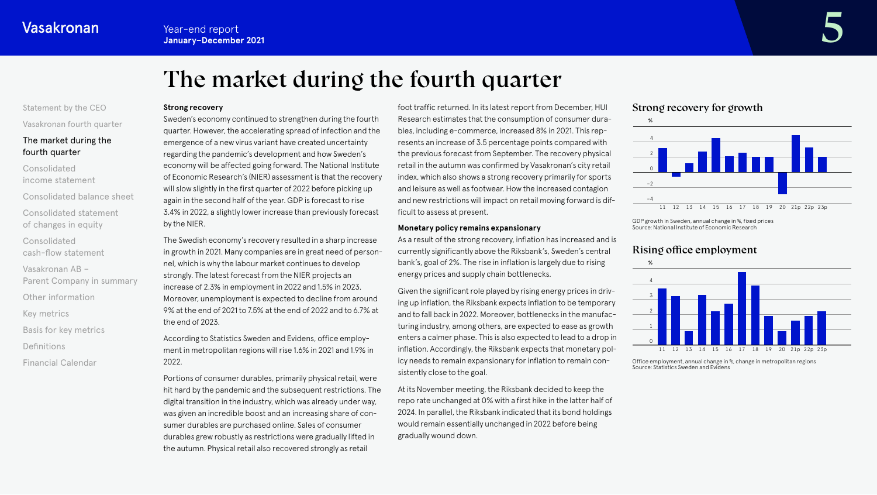# The market during the fourth quarter

# <span id="page-4-0"></span>[Statement by the CEO](#page-1-0)

[Vasakronan fourth quarter](#page-3-0)

# The market during the fourth quarter

Consolidated [income statement](#page-6-0)

[Consolidated balance sheet](#page-11-0) [Consolidated statement](#page-16-0) 

of changes in equity Consolidated

[cash-flow statement](#page-17-0)

Vasakronan AB – [Parent Company in summary](#page-20-0)

[Other information](#page-21-0)

[Key metrics](#page-22-0)

[Basis for key metrics](#page-23-0)

[Definitions](#page-24-0)

[Financial Calendar](#page-25-0)

#### **Strong recovery**

Sweden's economy continued to strengthen during the fourth quarter. However, the accelerating spread of infection and the emergence of a new virus variant have created uncertainty regarding the pandemic's development and how Sweden's economy will be affected going forward. The National Institute of Economic Research's (NIER) assessment is that the recovery will slow slightly in the first quarter of 2022 before picking up again in the second half of the year. GDP is forecast to rise 3.4% in 2022, a slightly lower increase than previously forecast by the NIER.

The Swedish economy's recovery resulted in a sharp increase in growth in 2021. Many companies are in great need of personnel, which is why the labour market continues to develop strongly. The latest forecast from the NIER projects an increase of 2.3% in employment in 2022 and 1.5% in 2023. Moreover, unemployment is expected to decline from around 9% at the end of 2021 to 7.5% at the end of 2022 and to 6.7% at the end of 2023.

According to Statistics Sweden and Evidens, office employment in metropolitan regions will rise 1.6% in 2021 and 1.9% in 2022.

Portions of consumer durables, primarily physical retail, were hit hard by the pandemic and the subsequent restrictions. The digital transition in the industry, which was already under way, was given an incredible boost and an increasing share of consumer durables are purchased online. Sales of consumer durables grew robustly as restrictions were gradually lifted in the autumn. Physical retail also recovered strongly as retail

foot traffic returned. In its latest report from December, HUI Research estimates that the consumption of consumer durables, including e-commerce, increased 8% in 2021. This represents an increase of 3.5 percentage points compared with the previous forecast from September. The recovery physical retail in the autumn was confirmed by Vasakronan's city retail index, which also shows a strong recovery primarily for sports and leisure as well as footwear. How the increased contagion and new restrictions will impact on retail moving forward is difficult to assess at present.

#### **Monetary policy remains expansionary**

As a result of the strong recovery, inflation has increased and is currently significantly above the Riksbank's, Sweden's central bank's, goal of 2%. The rise in inflation is largely due to rising energy prices and supply chain bottlenecks.

Given the significant role played by rising energy prices in driving up inflation, the Riksbank expects inflation to be temporary and to fall back in 2022. Moreover, bottlenecks in the manufacturing industry, among others, are expected to ease as growth enters a calmer phase. This is also expected to lead to a drop in inflation. Accordingly, the Riksbank expects that monetary policy needs to remain expansionary for inflation to remain consistently close to the goal.

At its November meeting, the Riksbank decided to keep the repo rate unchanged at 0% with a first hike in the latter half of 2024. In parallel, the Riksbank indicated that its bond holdings would remain essentially unchanged in 2022 before being gradually wound down.

# Strong recovery for growth



GDP growth in Sweden, annual change in %, fixed prices Source: National Institute of Economic Research

# Rising office employment



Office employment, annual change in %, change in metropolitan regions Source: Statistics Sweden and Evidens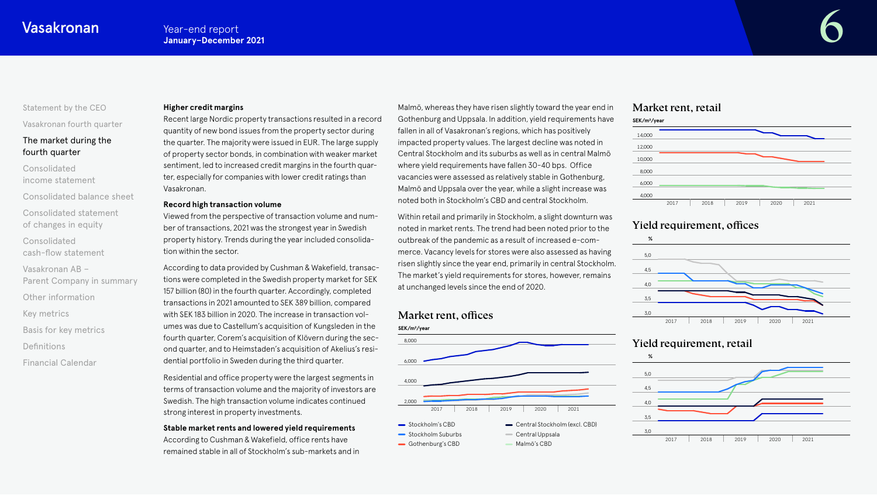# [Statement by the CEO](#page-1-0)

[Vasakronan fourth quarter](#page-3-0)

# [The market during the](#page-4-0)  fourth quarter

Consolidated [income statement](#page-6-0)

[Consolidated balance sheet](#page-11-0) [Consolidated statement](#page-16-0) 

of changes in equity

Consolidated [cash-flow statement](#page-17-0)

Vasakronan AB – [Parent Company in summary](#page-20-0)

[Other information](#page-21-0)

[Key metrics](#page-22-0)

[Basis for key metrics](#page-23-0)

[Definitions](#page-24-0)

[Financial Calendar](#page-25-0)

#### **Higher credit margins**

Recent large Nordic property transactions resulted in a record quantity of new bond issues from the property sector during the quarter. The majority were issued in EUR. The large supply of property sector bonds, in combination with weaker market sentiment, led to increased credit margins in the fourth quarter, especially for companies with lower credit ratings than Vasakronan.

#### **Record high transaction volume**

Viewed from the perspective of transaction volume and number of transactions, 2021 was the strongest year in Swedish property history. Trends during the year included consolidation within the sector.

According to data provided by Cushman & Wakefield, transactions were completed in the Swedish property market for SEK 157 billion (80) in the fourth quarter. Accordingly, completed transactions in 2021 amounted to SEK 389 billion, compared with SEK 183 billion in 2020. The increase in transaction volumes was due to Castellum's acquisition of Kungsleden in the fourth quarter, Corem's acquisition of Klövern during the second quarter, and to Heimstaden's acquisition of Akelius's residential portfolio in Sweden during the third quarter.

Residential and office property were the largest segments in terms of transaction volume and the majority of investors are Swedish. The high transaction volume indicates continued strong interest in property investments.

#### **Stable market rents and lowered yield requirements**

According to Cushman & Wakefield, office rents have remained stable in all of Stockholm's sub-markets and in Malmö, whereas they have risen slightly toward the year end in Gothenburg and Uppsala. In addition, yield requirements have fallen in all of Vasakronan's regions, which has positively impacted property values. The largest decline was noted in Central Stockholm and its suburbs as well as in central Malmö where yield requirements have fallen 30-40 bps. Office vacancies were assessed as relatively stable in Gothenburg, Malmö and Uppsala over the year, while a slight increase was noted both in Stockholm's CBD and central Stockholm.

Within retail and primarily in Stockholm, a slight downturn was noted in market rents. The trend had been noted prior to the outbreak of the pandemic as a result of increased e-commerce. Vacancy levels for stores were also assessed as having risen slightly since the year end, primarily in central Stockholm. The market's yield requirements for stores, however, remains at unchanged levels since the end of 2020.

# Market rent, offices



# Market rent, retail



# Yield requirement, offices





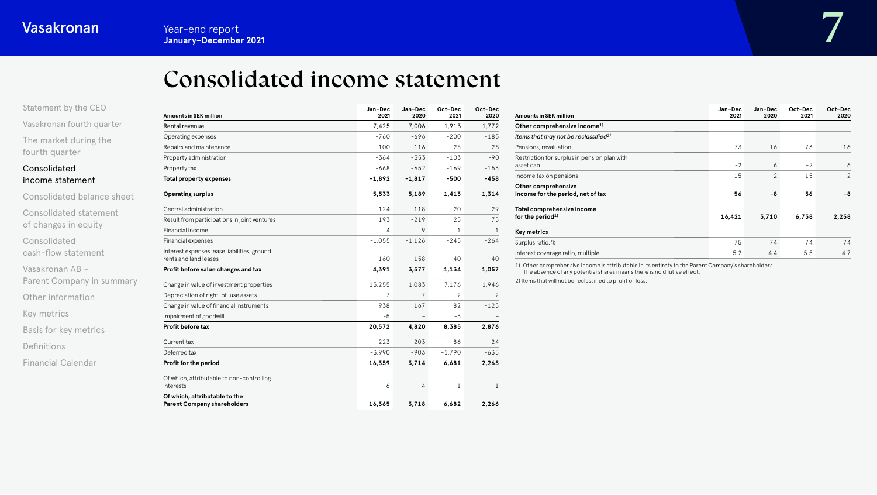# Consolidated income statement

<span id="page-6-0"></span>[Statement by the CEO](#page-1-0)

[Vasakronan fourth quarter](#page-3-0) [The market during the](#page-4-0)  fourth quarter

# Consolidated income statement

[Consolidated balance sheet](#page-11-0) [Consolidated statement](#page-16-0)  of changes in equity Consolidated [cash-flow statement](#page-17-0) Vasakronan AB – [Parent Company in summary](#page-20-0) [Other information](#page-21-0) [Key metrics](#page-22-0) [Basis for key metrics](#page-23-0) [Definitions](#page-24-0)

| <b>Financial Calendar</b> |  |
|---------------------------|--|
|---------------------------|--|

| <b>Amounts in SEK million</b>                                        | Jan-Dec<br>2021 | Jan-Dec<br>2020 | Oct-Dec<br>2021 | Oct-Dec<br>2020 |
|----------------------------------------------------------------------|-----------------|-----------------|-----------------|-----------------|
| Rental revenue                                                       | 7.425           | 7.006           | 1.913           | 1,772           |
| Operating expenses                                                   | $-760$          | $-696$          | $-200$          | $-185$          |
| Repairs and maintenance                                              | $-100$          | $-116$          | $-28$           | $-28$           |
| Property administration                                              | $-364$          | $-353$          | $-103$          | $-90$           |
| Property tax                                                         | $-668$          | $-652$          | $-169$          | $-155$          |
| <b>Total property expenses</b>                                       | $-1,892$        | $-1,817$        | $-500$          | $-458$          |
| <b>Operating surplus</b>                                             | 5,533           | 5,189           | 1,413           | 1,314           |
| Central administration                                               | $-124$          | $-118$          | $-20$           | $-29$           |
| Result from participations in joint ventures                         | 193             | $-219$          | 25              | 75              |
| Financial income                                                     | 4               | 9               | $\mathbf{1}$    | $\mathbf{1}$    |
| Financial expenses                                                   | $-1,055$        | $-1,126$        | $-245$          | $-264$          |
| Interest expenses lease liabilities, ground<br>rents and land leases | $-160$          | $-158$          | $-40$           | $-40$           |
| Profit before value changes and tax                                  | 4,391           | 3,577           | 1,134           | 1,057           |
| Change in value of investment properties                             | 15,255          | 1.083           | 7.176           | 1,946           |
| Depreciation of right-of-use assets                                  | $-7$            | $-7$            | $-2$            | $-2$            |
| Change in value of financial instruments                             | 938             | 167             | 82              | $-125$          |
| Impairment of goodwill                                               | $-5$            |                 | $-5$            |                 |
| Profit before tax                                                    | 20,572          | 4,820           | 8,385           | 2,876           |
| Current tax                                                          | $-223$          | $-203$          | 86              | 24              |
| Deferred tax                                                         | $-3,990$        | $-903$          | $-1,790$        | $-635$          |
| Profit for the period                                                | 16,359          | 3,714           | 6,681           | 2,265           |
| Of which, attributable to non-controlling<br>interests               | -6              | $-4$            | $-1$            | -1              |
| Of which, attributable to the<br><b>Parent Company shareholders</b>  | 16,365          | 3,718           | 6,682           | 2,266           |

| <b>Amounts in SEK million</b>                              | Jan-Dec<br>2021 | Jan-Dec<br>2020 | Oct-Dec<br>2021 | Oct-Dec<br>2020 |
|------------------------------------------------------------|-----------------|-----------------|-----------------|-----------------|
| Other comprehensive income <sup>1)</sup>                   |                 |                 |                 |                 |
| Items that may not be reclassified <sup>2)</sup>           |                 |                 |                 |                 |
| Pensions, revaluation                                      | 73              | $-16$           | 73              | $-16$           |
| Restriction for surplus in pension plan with<br>asset cap  | $-2$            | 6               | $-2$            | 6               |
| Income tax on pensions                                     | $-15$           | $\overline{2}$  | $-15$           | 2               |
| Other comprehensive<br>income for the period, net of tax   | 56              | -8              | 56              | -8              |
| Total comprehensive income<br>for the period <sup>1)</sup> | 16,421          | 3,710           | 6,738           | 2,258           |
| Key metrics                                                |                 |                 |                 |                 |
| Surplus ratio, %                                           | 75              | 74              | 74              | 74              |
| Interest coverage ratio, multiple                          | 5.2             | 4.4             | 5.5             | 4.7             |

1) Other comprehensive income is attributable in its entirety to the Parent Company's shareholders. The absence of any potential shares means there is no dilutive effect.

2) Items that will not be reclassified to profit or loss.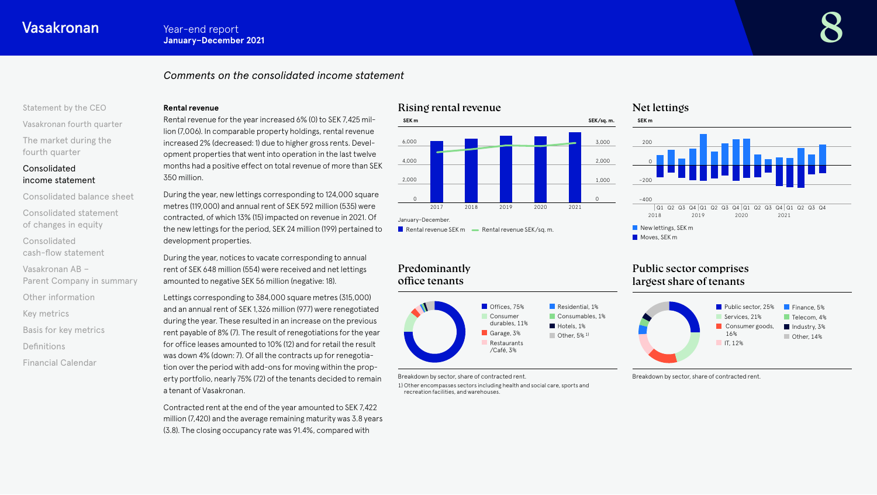# *Comments on the consolidated income statement*

# [Statement by the CEO](#page-1-0) [Vasakronan fourth quarter](#page-3-0) [The market during the](#page-4-0)

# Consolidated [income statement](#page-6-0)

fourth quarter

[Consolidated balance sheet](#page-11-0) [Consolidated statement](#page-16-0)  of changes in equity Consolidated [cash-flow statement](#page-17-0)

Vasakronan AB – [Parent Company in summary](#page-20-0)

[Other information](#page-21-0)

[Key metrics](#page-22-0)

[Basis for key metrics](#page-23-0)

[Definitions](#page-24-0)

[Financial Calendar](#page-25-0)

### **Rental revenue**

Rental revenue for the year increased 6% (0) to SEK 7,425 million (7,006). In comparable property holdings, rental revenue increased 2% (decreased: 1) due to higher gross rents. Development properties that went into operation in the last twelve months had a positive effect on total revenue of more than SEK 350 million.

During the year, new lettings corresponding to 124,000 square metres (119,000) and annual rent of SEK 592 million (535) were contracted, of which 13% (15) impacted on revenue in 2021. Of the new lettings for the period, SEK 24 million (199) pertained to development properties.

During the year, notices to vacate corresponding to annual rent of SEK 648 million (554) were received and net lettings amounted to negative SEK 56 million (negative: 18).

Lettings corresponding to 384,000 square metres (315,000) and an annual rent of SEK 1,326 million (977) were renegotiated during the year. These resulted in an increase on the previous rent payable of 8% (7). The result of renegotiations for the year for office leases amounted to 10% (12) and for retail the result was down 4% (down: 7). Of all the contracts up for renegotiation over the period with add-ons for moving within the property portfolio, nearly 75% (72) of the tenants decided to remain a tenant of Vasakronan.

Contracted rent at the end of the year amounted to SEK 7,422 million (7,420) and the average remaining maturity was 3.8 years (3.8). The closing occupancy rate was 91.4%, compared with

# Rising rental revenue



**Rental revenue SEK m**  $\longrightarrow$  **Rental revenue SEK/sq. m.** 

# Predominantly office tenants



Breakdown by sector, share of contracted rent.

1) Other encompasses sectors including health and social care, sports and recreation facilities, and warehouses.

# Net lettings



# Public sector comprises largest share of tenants



Breakdown by sector, share of contracted rent.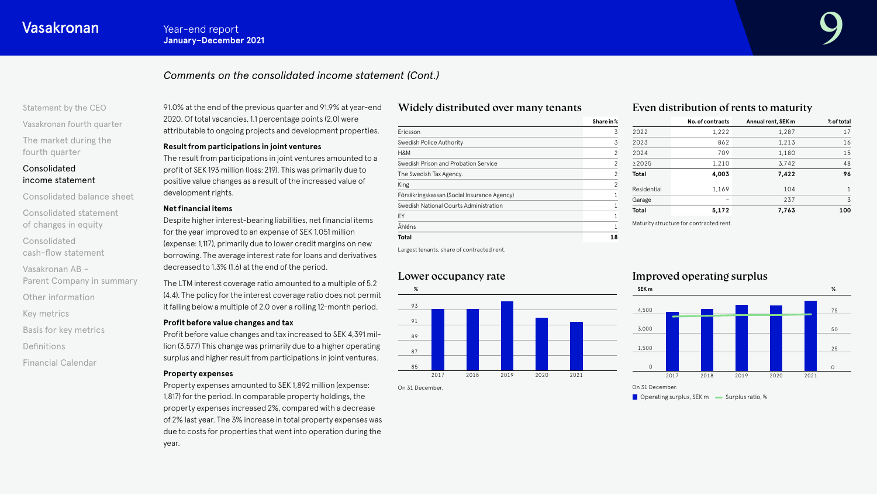# *Comments on the consolidated income statement (Cont.)*

[Statement by the CEO](#page-1-0)

[Vasakronan fourth quarter](#page-3-0) [The market during the](#page-4-0)  fourth quarter

# Consolidated [income statement](#page-6-0)

[Consolidated balance sheet](#page-11-0) [Consolidated statement](#page-16-0)  of changes in equity

Consolidated [cash-flow statement](#page-17-0)

Vasakronan AB –

[Parent Company in summary](#page-20-0)

[Other information](#page-21-0)

[Key metrics](#page-22-0)

[Basis for key metrics](#page-23-0)

[Definitions](#page-24-0)

[Financial Calendar](#page-25-0)

91.0% at the end of the previous quarter and 91.9% at year-end 2020. Of total vacancies, 1.1 percentage points (2.0) were attributable to ongoing projects and development properties.

### **Result from participations in joint ventures**

The result from participations in joint ventures amounted to a profit of SEK 193 million (loss: 219). This was primarily due to positive value changes as a result of the increased value of development rights.

# **Net financial items**

Despite higher interest-bearing liabilities, net financial items for the year improved to an expense of SEK 1,051 million (expense: 1,117), primarily due to lower credit margins on new borrowing. The average interest rate for loans and derivatives decreased to 1.3% (1.6) at the end of the period.

The LTM interest coverage ratio amounted to a multiple of 5.2 (4.4). The policy for the interest coverage ratio does not permit it falling below a multiple of 2.0 over a rolling 12-month period.

### **Profit before value changes and tax**

Profit before value changes and tax increased to SEK 4,391 million (3,577) This change was primarily due to a higher operating surplus and higher result from participations in joint ventures.

### **Property expenses**

Property expenses amounted to SEK 1,892 million (expense: 1,817) for the period. In comparable property holdings, the property expenses increased 2%, compared with a decrease of 2% last year. The 3% increase in total property expenses was due to costs for properties that went into operation during the

# Widely distributed over many tenants

|                                             | Share in %     |
|---------------------------------------------|----------------|
| Ericsson                                    | 3              |
| Swedish Police Authority                    | 3              |
| H&M                                         | $\mathfrak{p}$ |
| Swedish Prison and Probation Service        | 2              |
| The Swedish Tax Agency.                     | $\mathfrak{p}$ |
| King                                        | $\mathfrak{p}$ |
| Försäkringskassan (Social Insurance Agency) |                |
| Swedish National Courts Administration      |                |
| ΕY                                          |                |
| Åhléns                                      |                |
| Total                                       | 18             |

# Even distribution of rents to maturity

| No. of contracts | Annual rent, SEK m | % of total |
|------------------|--------------------|------------|
| 1,222            | 1,287              | 17         |
| 862              | 1,213              | 16         |
| 709              | 1,180              | 15         |
| 1,210            | 3,742              | 48         |
| 4,003            | 7,422              | 96         |
| 1,169            | 104                | 1          |
|                  | 237                | 3          |
| 5,172            | 7,763              | 100        |
|                  |                    |            |

Maturity structure for contracted rent.

Largest tenants, share of contracted rent.

# Lower occupancy rate



# Improved operating surplus



 $\Box$  Operating surplus, SEK m  $\Box$  Surplus ratio, %

year.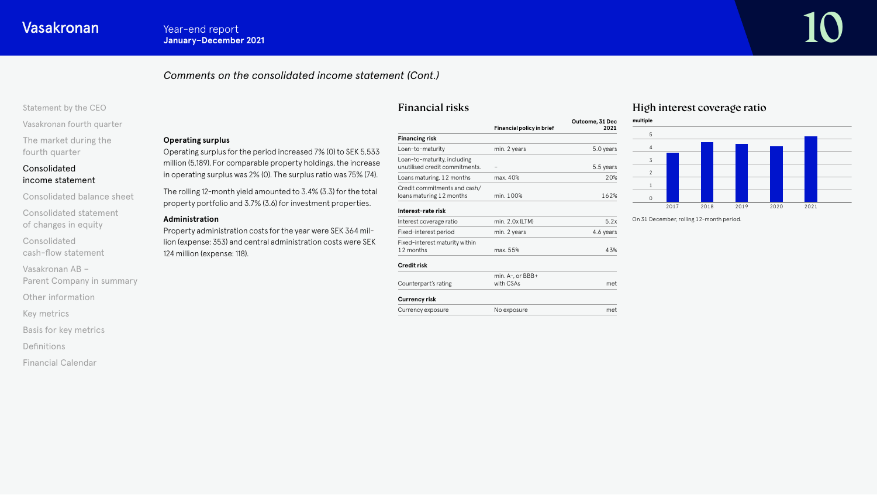**Operating surplus** 

**Administration**

124 million (expense: 118).

# *Comments on the consolidated income statement (Cont.)*

Operating surplus for the period increased 7% (0) to SEK 5,533 million (5,189). For comparable property holdings, the increase in operating surplus was 2% (0). The surplus ratio was 75% (74). The rolling 12-month yield amounted to 3.4% (3.3) for the total property portfolio and 3.7% (3.6) for investment properties.

Property administration costs for the year were SEK 364 million (expense: 353) and central administration costs were SEK

### [Statement by the CEO](#page-1-0)

[Vasakronan fourth quarter](#page-3-0)

[The market during the](#page-4-0)  fourth quarter

# Consolidated [income statement](#page-6-0)

[Consolidated balance sheet](#page-11-0)

[Consolidated statement](#page-16-0)  of changes in equity

Consolidated [cash-flow statement](#page-17-0)

Vasakronan AB –

[Parent Company in summary](#page-20-0)

[Other information](#page-21-0)

[Key metrics](#page-22-0)

[Basis for key metrics](#page-23-0)

[Definitions](#page-24-0)

[Financial Calendar](#page-25-0)

# Financial risks

|                                                               | Financial policy in brief          | Outcome, 31 Dec<br>2021 |
|---------------------------------------------------------------|------------------------------------|-------------------------|
| <b>Financing risk</b>                                         |                                    |                         |
| Loan-to-maturity                                              | min. 2 years                       | 5.0 years               |
| Loan-to-maturity, including<br>unutilised credit commitments. |                                    | 5.5 years               |
| Loans maturing, 12 months                                     | max. 40%                           | 20%                     |
| Credit commitments and cash/<br>loans maturing 12 months      | min. 100%                          | 162%                    |
| Interest-rate risk                                            |                                    |                         |
| Interest coverage ratio                                       | min. 2.0x (LTM)                    | 5.2x                    |
| Fixed-interest period                                         | min. 2 years                       | 4.6 years               |
| Fixed-interest maturity within<br>12 months                   | max. 55%                           | 43%                     |
| <b>Credit risk</b>                                            |                                    |                         |
| Counterpart's rating                                          | min. $A-$ . or $BBB+$<br>with CSAs | met                     |
| <b>Currency risk</b>                                          |                                    |                         |
| Currency exposure                                             | No exposure                        | met                     |

# High interest coverage ratio



On 31 December, rolling 12-month period.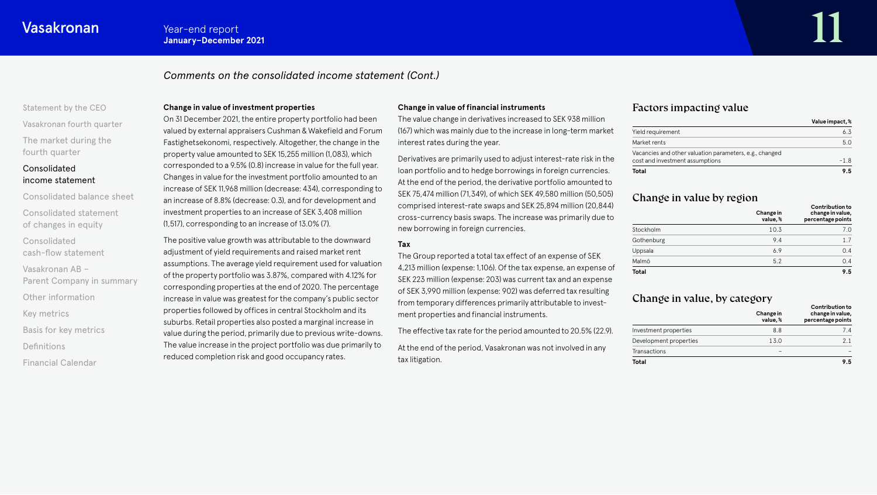# *Comments on the consolidated income statement (Cont.)*

# [Statement by the CEO](#page-1-0) [Vasakronan fourth quarter](#page-3-0) [The market during the](#page-4-0)  fourth quarter

# Consolidated [income statement](#page-6-0)

- [Consolidated balance sheet](#page-11-0) [Consolidated statement](#page-16-0)  of changes in equity Consolidated [cash-flow statement](#page-17-0) Vasakronan AB – [Parent Company in summary](#page-20-0) [Other information](#page-21-0) [Key metrics](#page-22-0)
- [Basis for key metrics](#page-23-0)
- [Definitions](#page-24-0)
- [Financial Calendar](#page-25-0)

### **Change in value of investment properties**

On 31 December 2021, the entire property portfolio had been valued by external appraisers Cushman & Wakefield and Forum Fastighetsekonomi, respectively. Altogether, the change in the property value amounted to SEK 15,255 million (1,083), which corresponded to a 9.5% (0.8) increase in value for the full year. Changes in value for the investment portfolio amounted to an increase of SEK 11,968 million (decrease: 434), corresponding to an increase of 8.8% (decrease: 0.3), and for development and investment properties to an increase of SEK 3,408 million (1,517), corresponding to an increase of 13.0% (7).

The positive value growth was attributable to the downward adjustment of yield requirements and raised market rent assumptions. The average yield requirement used for valuation of the property portfolio was 3.87%, compared with 4.12% for corresponding properties at the end of 2020. The percentage increase in value was greatest for the company's public sector properties followed by offices in central Stockholm and its suburbs. Retail properties also posted a marginal increase in value during the period, primarily due to previous write-downs. The value increase in the project portfolio was due primarily to reduced completion risk and good occupancy rates.

### **Change in value of financial instruments**

The value change in derivatives increased to SEK 938 million (167) which was mainly due to the increase in long-term market interest rates during the year.

Derivatives are primarily used to adjust interest-rate risk in the loan portfolio and to hedge borrowings in foreign currencies. At the end of the period, the derivative portfolio amounted to SEK 75,474 million (71,349), of which SEK 49,580 million (50,505) comprised interest-rate swaps and SEK 25,894 million (20,844) cross-currency basis swaps. The increase was primarily due to new borrowing in foreign currencies.

# **Tax**

The Group reported a total tax effect of an expense of SEK 4,213 million (expense: 1,106). Of the tax expense, an expense of SEK 223 million (expense: 203) was current tax and an expense of SEK 3,990 million (expense: 902) was deferred tax resulting from temporary differences primarily attributable to investment properties and financial instruments.

At the end of the period, Vasakronan was not involved in any tax litigation.

The effective tax rate for the period amounted to 20.5% (22.9).

# Factors impacting value

|                                                         | Value impact, % |
|---------------------------------------------------------|-----------------|
| Yield requirement                                       | 6.3             |
| Market rents                                            | 5.0             |
| Vacancies and other valuation parameters, e.g., changed |                 |
| cost and investment assumptions                         | $-1.8$          |
| Total                                                   | 95              |

# Change in value by region

|              | Change in<br>value,% | <b>Contribution to</b><br>change in value,<br>percentage points |
|--------------|----------------------|-----------------------------------------------------------------|
| Stockholm    | 10.3                 | 7.0                                                             |
| Gothenburg   | 9.4                  | 1.7                                                             |
| Uppsala      | 6.9                  | 0.4                                                             |
| Malmö        | 5.2                  | 0.4                                                             |
| <b>Total</b> |                      | 9.5                                                             |

# Change in value, by category

|                        | Change in<br>value.% | <b>Contribution to</b><br>change in value,<br>percentage points |
|------------------------|----------------------|-----------------------------------------------------------------|
| Investment properties  | 8.8                  | 7.4                                                             |
| Development properties | 13.0                 | 2.1                                                             |
| Transactions           |                      |                                                                 |
| Total                  |                      | 9.5                                                             |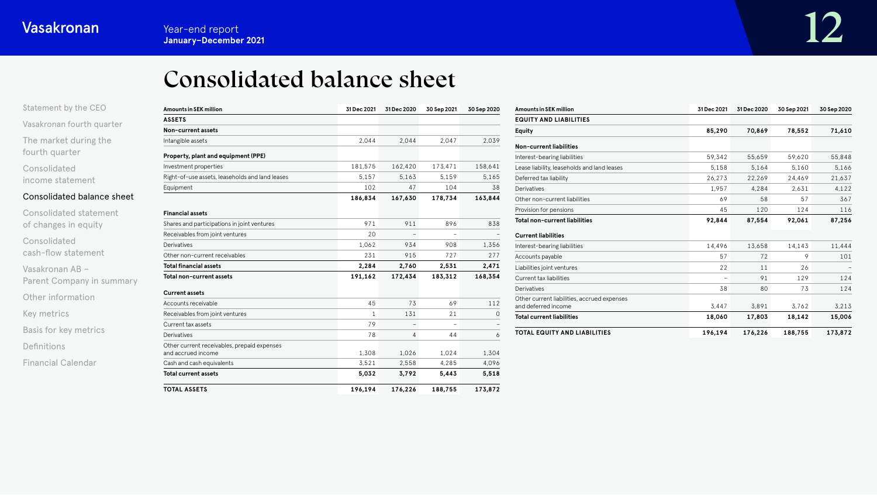# Consolidated balance sheet

<span id="page-11-0"></span>

| Statement by the CEO       | <b>Amounts in SEK million</b>                                     | 31 Dec 2021  | 31 Dec 2020 | 30 Sep 2021 | 30 Sep 2020 |
|----------------------------|-------------------------------------------------------------------|--------------|-------------|-------------|-------------|
|                            | <b>ASSETS</b>                                                     |              |             |             |             |
| Vasakronan fourth quarter  | Non-current assets                                                |              |             |             |             |
| The market during the      | Intangible assets                                                 | 2.044        | 2.044       | 2.047       | 2.039       |
| fourth quarter             | Property, plant and equipment (PPE)                               |              |             |             |             |
| Consolidated               | Investment properties                                             | 181,575      | 162,420     | 173,471     | 158,641     |
| income statement           | Right-of-use assets, leaseholds and land leases                   | 5,157        | 5,163       | 5,159       | 5,165       |
|                            | Equipment                                                         | 102          | 47          | 104         | 38          |
| Consolidated balance sheet |                                                                   | 186,834      | 167,630     | 178,734     | 163,844     |
| Consolidated statement     | <b>Financial assets</b>                                           |              |             |             |             |
| of changes in equity       | Shares and participations in joint ventures                       | 971          | 911         | 896         | 838         |
|                            | Receivables from joint ventures                                   | 20           |             |             |             |
| Consolidated               | <b>Derivatives</b>                                                | 1.062        | 934         | 908         | 1,356       |
| cash-flow statement        | Other non-current receivables                                     | 231          | 915         | 727         | 277         |
| Vasakronan AB -            | <b>Total financial assets</b>                                     | 2,284        | 2,760       | 2,531       | 2,471       |
| Parent Company in summary  | Total non-current assets                                          | 191,162      | 172,434     | 183,312     | 168,354     |
| Other information          | <b>Current assets</b>                                             |              |             |             |             |
|                            | Accounts receivable                                               | 45           | 73          | 69          | 112         |
| Key metrics                | Receivables from joint ventures                                   | $\mathbf{1}$ | 131         | 21          | $\Omega$    |
|                            | Current tax assets                                                | 79           |             |             |             |
| Basis for key metrics      | <b>Derivatives</b>                                                | 78           | 4           | 44          | 6           |
| Definitions                | Other current receivables, prepaid expenses<br>and accrued income | 1,308        | 1,026       | 1,024       | 1,304       |
| <b>Financial Calendar</b>  | Cash and cash equivalents                                         | 3.521        | 2,558       | 4,285       | 4,096       |
|                            | <b>Total current assets</b>                                       | 5,032        | 3,792       | 5,443       | 5,518       |
|                            | <b>TOTAL ASSETS</b>                                               | 196,194      | 176,226     | 188,755     | 173,872     |

| <b>Amounts in SEK million</b>                                      | 31 Dec 2021 | 31 Dec 2020 | 30 Sep 2021 | 30 Sep 2020 |
|--------------------------------------------------------------------|-------------|-------------|-------------|-------------|
| <b>EQUITY AND LIABILITIES</b>                                      |             |             |             |             |
| <b>Equity</b>                                                      | 85,290      | 70,869      | 78,552      | 71,610      |
| Non-current liabilities                                            |             |             |             |             |
| Interest-bearing liabilities                                       | 59,342      | 55,659      | 59,620      | 55,848      |
| Lease liability, leaseholds and land leases                        | 5.158       | 5.164       | 5.160       | 5,166       |
| Deferred tax liability                                             | 26,273      | 22,269      | 24,469      | 21,637      |
| Derivatives                                                        | 1.957       | 4.284       | 2.631       | 4.122       |
| Other non-current liabilities                                      | 69          | 58          | 57          | 367         |
| Provision for pensions                                             | 45          | 120         | 124         | 116         |
| <b>Total non-current liabilities</b>                               | 92.844      | 87,554      | 92,061      | 87,256      |
| <b>Current liabilities</b>                                         |             |             |             |             |
| Interest-bearing liabilities                                       | 14,496      | 13.658      | 14,143      | 11,444      |
| Accounts payable                                                   | 57          | 72          | 9           | 101         |
| Liabilities joint ventures                                         | 22          | 11          | 26          |             |
| Current tax liabilities                                            |             | 91          | 129         | 124         |
| Derivatives                                                        | 38          | 80          | 73          | 124         |
| Other current liabilities, accrued expenses<br>and deferred income | 3.447       | 3.891       | 3.762       | 3,213       |
| <b>Total current liabilities</b>                                   | 18,060      | 17,803      | 18,142      | 15,006      |
| <b>TOTAL EQUITY AND LIABILITIES</b>                                | 196,194     | 176,226     | 188,755     | 173.872     |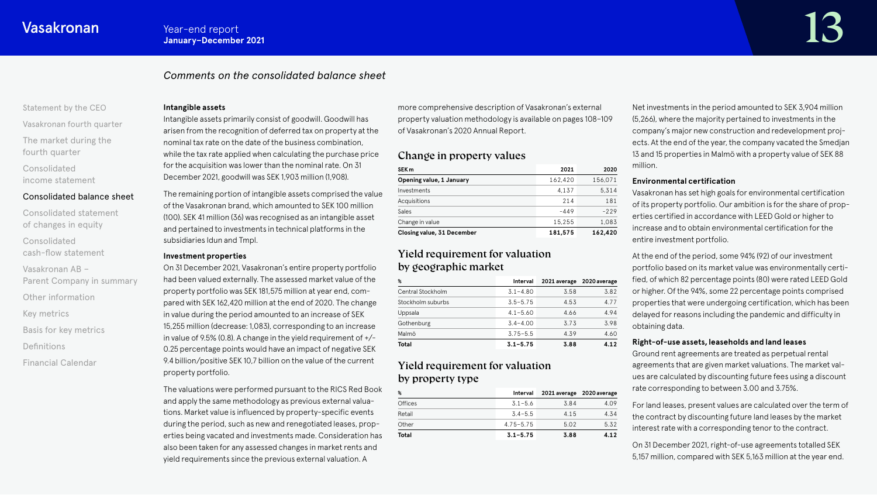# *Comments on the consolidated balance sheet*

#### [Statement by the CEO](#page-1-0)

[Vasakronan fourth quarter](#page-3-0) [The market during the](#page-4-0)  fourth quarter

Consolidated [income statement](#page-6-0)

### [Consolidated balance sheet](#page-11-0)

- [Consolidated statement](#page-16-0)  of changes in equity
- Consolidated [cash-flow statement](#page-17-0)
- Vasakronan AB –
- [Parent Company in summary](#page-20-0)
- [Other information](#page-21-0)
- [Key metrics](#page-22-0)
- [Basis for key metrics](#page-23-0)
- [Definitions](#page-24-0)
- [Financial Calendar](#page-25-0)

#### **Intangible assets**

Intangible assets primarily consist of goodwill. Goodwill has arisen from the recognition of deferred tax on property at the nominal tax rate on the date of the business combination, while the tax rate applied when calculating the purchase price for the acquisition was lower than the nominal rate. On 31 December 2021, goodwill was SEK 1,903 million (1,908).

The remaining portion of intangible assets comprised the value of the Vasakronan brand, which amounted to SEK 100 million (100). SEK 41 million (36) was recognised as an intangible asset and pertained to investments in technical platforms in the subsidiaries Idun and Tmpl.

### **Investment properties**

On 31 December 2021, Vasakronan's entire property portfolio had been valued externally. The assessed market value of the property portfolio was SEK 181,575 million at year end, compared with SEK 162,420 million at the end of 2020. The change in value during the period amounted to an increase of SEK 15,255 million (decrease: 1,083), corresponding to an increase in value of 9.5% (0.8). A change in the yield requirement of  $+/-$ 0.25 percentage points would have an impact of negative SEK 9.4 billion/positive SEK 10,7 billion on the value of the current property portfolio.

The valuations were performed pursuant to the RICS Red Book and apply the same methodology as previous external valuations. Market value is influenced by property-specific events during the period, such as new and renegotiated leases, properties being vacated and investments made. Consideration has also been taken for any assessed changes in market rents and yield requirements since the previous external valuation. A

more comprehensive description of Vasakronan's external property valuation methodology is available on pages 108–109 of Vasakronan's 2020 Annual Report.

# Change in property values

| SEK <sub>m</sub>           | 2021    | 2020    |
|----------------------------|---------|---------|
| Opening value, 1 January   | 162,420 | 156.071 |
| Investments                | 4.137   | 5.314   |
| Acquisitions               | 214     | 181     |
| Sales                      | $-449$  | $-229$  |
| Change in value            | 15,255  | 1.083   |
| Closing value, 31 December | 181,575 | 162,420 |

# Yield requirement for valuation by geographic market

| ℁                 | Interval     | 2021 average | 2020 average |
|-------------------|--------------|--------------|--------------|
| Central Stockholm | $3.1 - 4.80$ | 3.58         | 3.82         |
| Stockholm suburbs | $3.5 - 5.75$ | 4.53         | 4.77         |
| Uppsala           | $4.1 - 5.60$ | 4.66         | 4.94         |
| Gothenburg        | $3.4 - 4.00$ | 3.73         | 3.98         |
| Malmö             | $3.75 - 5.5$ | 4.39         | 4.60         |
| Total             | $3.1 - 5.75$ | 3.88         | 4.12         |

# Yield requirement for valuation by property type

| ℁              | Interval      | 2021 average 2020 average |      |
|----------------|---------------|---------------------------|------|
| <b>Offices</b> | $3.1 - 5.6$   | 3.84                      | 4.09 |
| Retail         | $3.4 - 5.5$   | 4.15                      | 4.34 |
| Other          | $4.75 - 5.75$ | 5.02                      | 5.32 |
| Total          | $3.1 - 5.75$  | 3.88                      | 4.12 |

Net investments in the period amounted to SEK 3,904 million (5,266), where the majority pertained to investments in the company's major new construction and redevelopment projects. At the end of the year, the company vacated the Smedjan 13 and 15 properties in Malmö with a property value of SEK 88 million.

### **Environmental certification**

Vasakronan has set high goals for environmental certification of its property portfolio. Our ambition is for the share of properties certified in accordance with LEED Gold or higher to increase and to obtain environmental certification for the entire investment portfolio.

At the end of the period, some 94% (92) of our investment portfolio based on its market value was environmentally certified, of which 82 percentage points (80) were rated LEED Gold or higher. Of the 94%, some 22 percentage points comprised properties that were undergoing certification, which has been delayed for reasons including the pandemic and difficulty in obtaining data.

# **Right-of-use assets, leaseholds and land leases**

Ground rent agreements are treated as perpetual rental agreements that are given market valuations. The market values are calculated by discounting future fees using a discount rate corresponding to between 3.00 and 3.75%.

For land leases, present values are calculated over the term of the contract by discounting future land leases by the market interest rate with a corresponding tenor to the contract.

On 31 December 2021, right-of-use agreements totalled SEK 5,157 million, compared with SEK 5,163 million at the year end.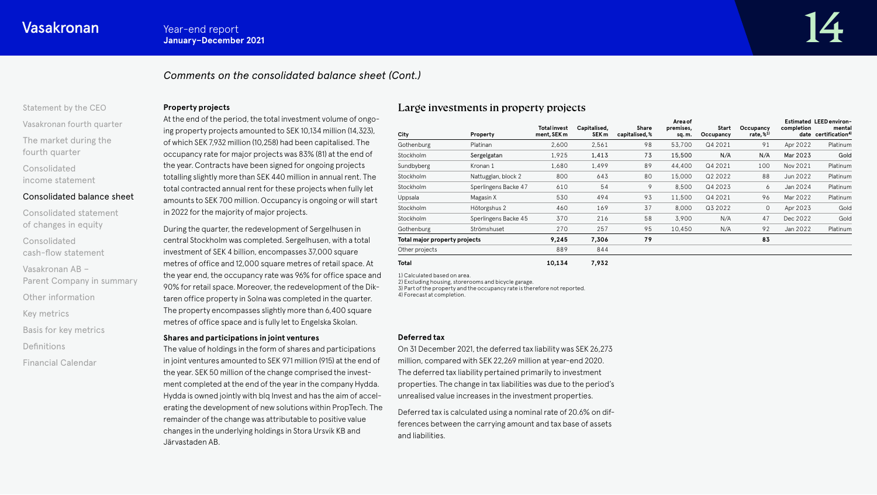# *Comments on the consolidated balance sheet (Cont.)*

### [Statement by the CEO](#page-1-0)

[Vasakronan fourth quarter](#page-3-0) [The market during the](#page-4-0)  fourth quarter

Consolidated [income statement](#page-6-0)

### [Consolidated balance sheet](#page-11-0)

[Consolidated statement](#page-16-0)  of changes in equity Consolidated [cash-flow statement](#page-17-0) Vasakronan AB – [Parent Company in summary](#page-20-0) [Other information](#page-21-0) [Key metrics](#page-22-0) [Basis for key metrics](#page-23-0) [Definitions](#page-24-0) [Financial Calendar](#page-25-0)

### **Property projects**

At the end of the period, the total investment volume of ongoing property projects amounted to SEK 10,134 million (14,323), of which SEK 7,932 million (10,258) had been capitalised. The occupancy rate for major projects was 83% (81) at the end of the year. Contracts have been signed for ongoing projects totalling slightly more than SEK 440 million in annual rent. The total contracted annual rent for these projects when fully let amounts to SEK 700 million. Occupancy is ongoing or will start in 2022 for the majority of major projects.

During the quarter, the redevelopment of Sergelhusen in central Stockholm was completed. Sergelhusen, with a total investment of SEK 4 billion, encompasses 37,000 square metres of office and 12,000 square metres of retail space. At the year end, the occupancy rate was 96% for office space and 90% for retail space. Moreover, the redevelopment of the Diktaren office property in Solna was completed in the quarter. The property encompasses slightly more than 6,400 square metres of office space and is fully let to Engelska Skolan.

#### **Shares and participations in joint ventures**

The value of holdings in the form of shares and participations in joint ventures amounted to SEK 971 million (915) at the end of the year. SEK 50 million of the change comprised the investment completed at the end of the year in the company Hydda. Hydda is owned jointly with blq Invest and has the aim of accelerating the development of new solutions within PropTech. The remainder of the change was attributable to positive value changes in the underlying holdings in Stora Ursvik KB and Järvastaden AB.

# Large investments in property projects

| City                          | Property             | <b>Total invest</b><br>ment, SEK m | Capitalised,<br>SEK <sub>m</sub> | Share<br>capitalised, % | Area of<br>premises,<br>sq.m. | Start<br>Occupancy | Occupancy<br>rate, $%1$ <sup>1)</sup> | completion | Estimated LEED environ-<br>mental<br>date certification <sup>4)</sup> |
|-------------------------------|----------------------|------------------------------------|----------------------------------|-------------------------|-------------------------------|--------------------|---------------------------------------|------------|-----------------------------------------------------------------------|
| Gothenburg                    | Platinan             | 2,600                              | 2,561                            | 98                      | 53,700                        | Q4 2021            | 91                                    | Apr 2022   | Platinum                                                              |
| Stockholm                     | Sergelgatan          | 1,925                              | 1,413                            | 73                      | 15,500                        | N/A                | N/A                                   | Mar 2023   | Gold                                                                  |
| Sundbyberg                    | Kronan 1             | 1,680                              | 1,499                            | 89                      | 44,400                        | Q4 2021            | 100                                   | Nov 2021   | Platinum                                                              |
| Stockholm                     | Nattugglan, block 2  | 800                                | 643                              | 80                      | 15,000                        | Q2 2022            | 88                                    | Jun 2022   | Platinum                                                              |
| Stockholm                     | Sperlingens Backe 47 | 610                                | 54                               | 9                       | 8,500                         | Q4 2023            | 6                                     | Jan 2024   | Platinum                                                              |
| Uppsala                       | Magasin X            | 530                                | 494                              | 93                      | 11,500                        | Q4 2021            | 96                                    | Mar 2022   | Platinum                                                              |
| Stockholm                     | Hötorgshus 2         | 460                                | 169                              | 37                      | 8,000                         | Q3 2022            | $\circ$                               | Apr 2023   | Gold                                                                  |
| Stockholm                     | Sperlingens Backe 45 | 370                                | 216                              | 58                      | 3,900                         | N/A                | 47                                    | Dec 2022   | Gold                                                                  |
| Gothenburg                    | Strömshuset          | 270                                | 257                              | 95                      | 10,450                        | N/A                | 92                                    | Jan 2022   | Platinum                                                              |
| Total major property projects |                      | 9,245                              | 7,306                            | 79                      |                               |                    | 83                                    |            |                                                                       |
| Other projects                |                      | 889                                | 844                              |                         |                               |                    |                                       |            |                                                                       |
| <b>Total</b>                  |                      | 10,134                             | 7,932                            |                         |                               |                    |                                       |            |                                                                       |

1) Calculated based on area. 2) Excluding housing, storerooms and bicycle garage. 3) Part of the property and the occupancy rate is therefore not reported. 4) Forecast at completion.

#### **Deferred tax**

On 31 December 2021, the deferred tax liability was SEK 26,273 million, compared with SEK 22,269 million at year-end 2020. The deferred tax liability pertained primarily to investment properties. The change in tax liabilities was due to the period's unrealised value increases in the investment properties.

Deferred tax is calculated using a nominal rate of 20.6% on differences between the carrying amount and tax base of assets and liabilities.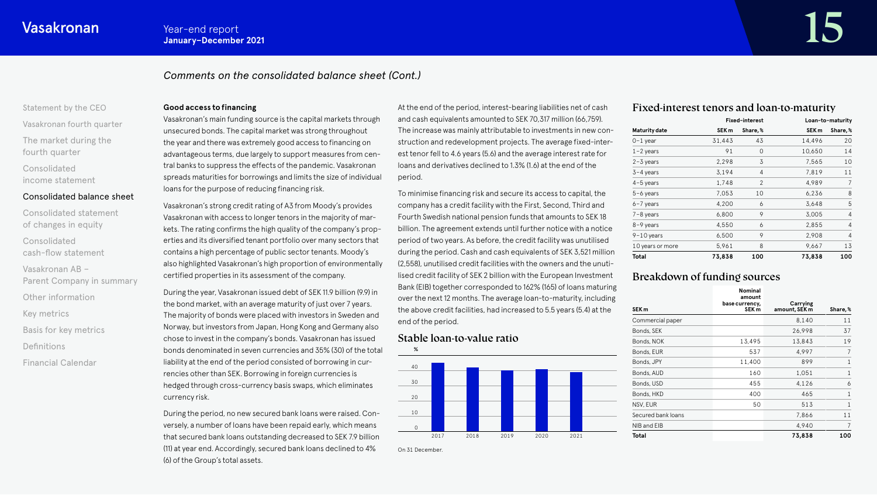# *Comments on the consolidated balance sheet (Cont.)*

# [Statement by the CEO](#page-1-0) [Vasakronan fourth quarter](#page-3-0)

[The market during the](#page-4-0)  fourth quarter

Consolidated [income statement](#page-6-0)

### [Consolidated balance sheet](#page-11-0)

[Consolidated statement](#page-16-0)  of changes in equity Consolidated [cash-flow statement](#page-17-0) Vasakronan AB – [Parent Company in summary](#page-20-0) [Other information](#page-21-0) [Key metrics](#page-22-0) [Basis for key metrics](#page-23-0) [Definitions](#page-24-0) [Financial Calendar](#page-25-0)

#### **Good access to financing**

Vasakronan's main funding source is the capital markets through unsecured bonds. The capital market was strong throughout the year and there was extremely good access to financing on advantageous terms, due largely to support measures from central banks to suppress the effects of the pandemic. Vasakronan spreads maturities for borrowings and limits the size of individual loans for the purpose of reducing financing risk.

Vasakronan's strong credit rating of A3 from Moody's provides Vasakronan with access to longer tenors in the majority of markets. The rating confirms the high quality of the company's properties and its diversified tenant portfolio over many sectors that contains a high percentage of public sector tenants. Moody's also highlighted Vasakronan's high proportion of environmentally certified properties in its assessment of the company.

During the year, Vasakronan issued debt of SEK 11.9 billion (9.9) in the bond market, with an average maturity of just over 7 years. The majority of bonds were placed with investors in Sweden and Norway, but investors from Japan, Hong Kong and Germany also chose to invest in the company's bonds. Vasakronan has issued bonds denominated in seven currencies and 35% (30) of the total liability at the end of the period consisted of borrowing in currencies other than SEK. Borrowing in foreign currencies is hedged through cross-currency basis swaps, which eliminates currency risk.

During the period, no new secured bank loans were raised. Conversely, a number of loans have been repaid early, which means that secured bank loans outstanding decreased to SEK 7.9 billion (11) at year end. Accordingly, secured bank loans declined to 4% (6) of the Group's total assets.

At the end of the period, interest-bearing liabilities net of cash and cash equivalents amounted to SEK 70,317 million (66,759). The increase was mainly attributable to investments in new construction and redevelopment projects. The average fixed-interest tenor fell to 4.6 years (5.6) and the average interest rate for loans and derivatives declined to 1.3% (1.6) at the end of the period.

To minimise financing risk and secure its access to capital, the company has a credit facility with the First, Second, Third and Fourth Swedish national pension funds that amounts to SEK 18 billion. The agreement extends until further notice with a notice period of two years. As before, the credit facility was unutilised during the period. Cash and cash equivalents of SEK 3,521 million (2,558), unutilised credit facilities with the owners and the unutilised credit facility of SEK 2 billion with the European Investment Bank (EIB) together corresponded to 162% (165) of loans maturing over the next 12 months. The average loan-to-maturity, including the above credit facilities, had increased to 5.5 years (5.4) at the end of the period.

# Stable loan-to-value ratio

On 31 December.



# Fixed-interest tenors and loan-to-maturity

|                      |                  | <b>Fixed-interest</b> |                  | Loan-to-maturity |
|----------------------|------------------|-----------------------|------------------|------------------|
| <b>Maturity date</b> | SEK <sub>m</sub> | Share,%               | SEK <sub>m</sub> | Share,%          |
| $0-1$ year           | 31,443           | 43                    | 14,496           | 20               |
| $1 - 2$ years        | 91               | 0                     | 10,650           | 14               |
| $2 - 3$ years        | 2,298            | 3                     | 7,565            | 10               |
| 3-4 years            | 3,194            | 4                     | 7,819            | 11               |
| $4-5$ years          | 1,748            | 2                     | 4,989            | 7                |
| $5-6$ years          | 7,053            | 10                    | 6,236            | 8                |
| $6 - 7$ years        | 4,200            | 6                     | 3,648            | 5                |
| $7 - 8$ years        | 6,800            | 9                     | 3,005            | 4                |
| 8-9 years            | 4,550            | 6                     | 2,855            | 4                |
| $9-10$ years         | 6,500            | 9                     | 2,908            | 4                |
| 10 years or more     | 5,961            | 8                     | 9,667            | 13               |
| Total                | 73,838           | 100                   | 73,838           | 100              |

# Breakdown of funding sources

| SEK <sub>m</sub>   | <b>Nominal</b><br>amount<br>base currency,<br>SEK <sub>m</sub> | Carrying<br>amount, SEK m | Share,%      |
|--------------------|----------------------------------------------------------------|---------------------------|--------------|
| Commercial paper   |                                                                | 8,140                     | 11           |
| Bonds, SEK         |                                                                | 26,998                    | 37           |
| Bonds, NOK         | 13,495                                                         | 13,843                    | 19           |
| Bonds, EUR         | 537                                                            | 4.997                     | 7            |
| Bonds, JPY         | 11,400                                                         | 899                       | 1            |
| Bonds, AUD         | 160                                                            | 1,051                     | 1            |
| Bonds, USD         | 455                                                            | 4,126                     | 6            |
| Bonds, HKD         | 400                                                            | 465                       | $\mathbf{1}$ |
| NSV, EUR           | 50                                                             | 513                       | 1            |
| Secured bank loans |                                                                | 7,866                     | 11           |
| NIB and EIB        |                                                                | 4,940                     | 7            |
| Total              |                                                                | 73,838                    | 100          |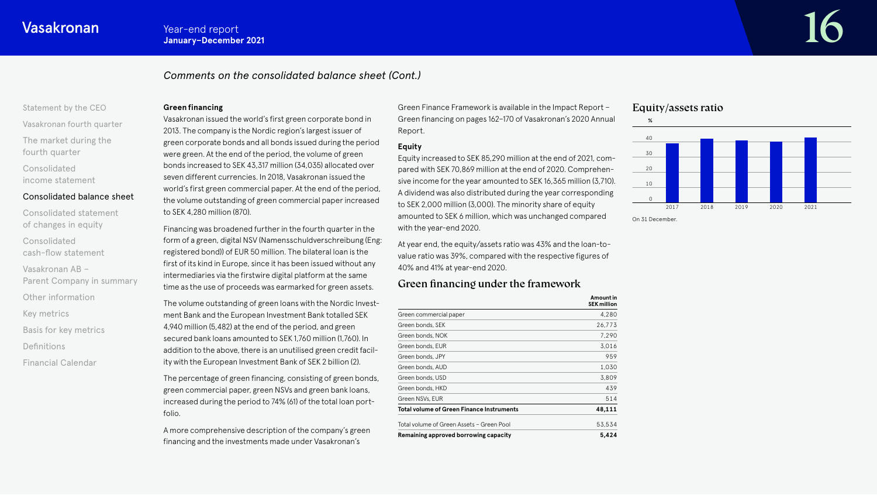# *Comments on the consolidated balance sheet (Cont.)*

# [Statement by the CEO](#page-1-0)

[Vasakronan fourth quarter](#page-3-0) [The market during the](#page-4-0)  fourth quarter

Consolidated [income statement](#page-6-0)

# [Consolidated balance sheet](#page-11-0)

[Consolidated statement](#page-16-0)  of changes in equity Consolidated [cash-flow statement](#page-17-0) Vasakronan AB – [Parent Company in summary](#page-20-0) [Other information](#page-21-0) [Key metrics](#page-22-0) [Basis for key metrics](#page-23-0) [Definitions](#page-24-0)

[Financial Calendar](#page-25-0)

### **Green financing**

Vasakronan issued the world's first green corporate bond in 2013. The company is the Nordic region's largest issuer of green corporate bonds and all bonds issued during the period were green. At the end of the period, the volume of green bonds increased to SEK 43,317 million (34,035) allocated over seven different currencies. In 2018, Vasakronan issued the world's first green commercial paper. At the end of the period, the volume outstanding of green commercial paper increased to SEK 4,280 million (870).

Financing was broadened further in the fourth quarter in the form of a green, digital NSV (Namensschuldverschreibung (Eng: registered bond)) of EUR 50 million. The bilateral loan is the first of its kind in Europe, since it has been issued without any intermediaries via the firstwire digital platform at the same time as the use of proceeds was earmarked for green assets.

The volume outstanding of green loans with the Nordic Investment Bank and the European Investment Bank totalled SEK 4,940 million (5,482) at the end of the period, and green secured bank loans amounted to SEK 1,760 million (1,760). In addition to the above, there is an unutilised green credit facility with the European Investment Bank of SEK 2 billion (2).

The percentage of green financing, consisting of green bonds, green commercial paper, green NSVs and green bank loans, increased during the period to 74% (61) of the total loan portfolio.

A more comprehensive description of the company's green financing and the investments made under Vasakronan's

Green Finance Framework is available in the Impact Report – Green financing on pages 162–170 of Vasakronan's 2020 Annual Report.

# **Equity**

Equity increased to SEK 85,290 million at the end of 2021, compared with SEK 70,869 million at the end of 2020. Comprehensive income for the year amounted to SEK 16,365 million (3,710). A dividend was also distributed during the year corresponding to SEK 2,000 million (3,000). The minority share of equity amounted to SEK 6 million, which was unchanged compared with the year-end 2020.

At year end, the equity/assets ratio was 43% and the loan-tovalue ratio was 39%, compared with the respective figures of 40% and 41% at year-end 2020.

# Green financing under the framework

|                                                  | Amount in<br><b>SEK million</b> |
|--------------------------------------------------|---------------------------------|
| Green commercial paper                           | 4,280                           |
| Green bonds, SEK                                 | 26,773                          |
| Green bonds, NOK                                 | 7,290                           |
| Green bonds, EUR                                 | 3,016                           |
| Green bonds, JPY                                 | 959                             |
| Green bonds, AUD                                 | 1,030                           |
| Green bonds, USD                                 | 3.809                           |
| Green bonds, HKD                                 | 439                             |
| Green NSVs, EUR                                  | 514                             |
| <b>Total volume of Green Finance Instruments</b> | 48,111                          |
| Total volume of Green Assets - Green Pool        | 53,534                          |
| Remaining approved borrowing capacity            | 5,424                           |

# Equity/assets ratio



On 31 December.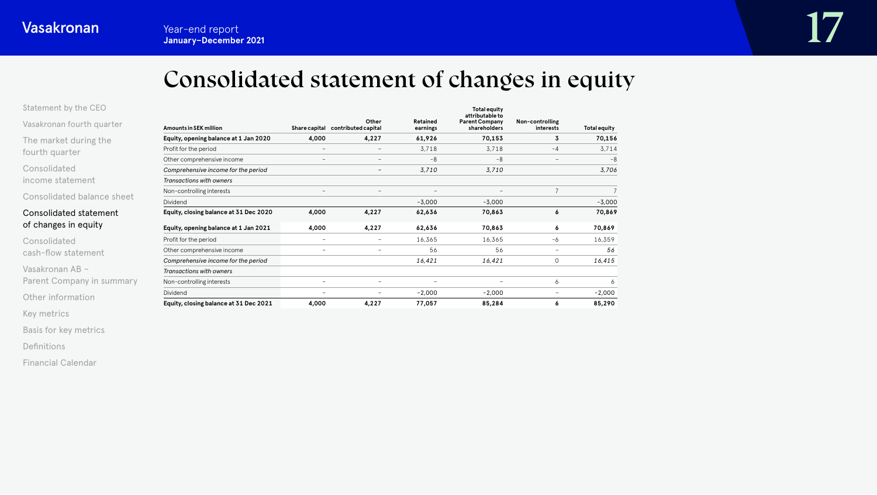# Consolidated statement of changes in equity

<span id="page-16-0"></span>

| Statement by the CEO |  |  |  |  |  |
|----------------------|--|--|--|--|--|
|----------------------|--|--|--|--|--|

[Vasakronan fourth quarter](#page-3-0)

[The market during the](#page-4-0)  fourth quarter

Consolidated [income statement](#page-6-0)

[Consolidated balance sheet](#page-11-0)

# Consolidated statement of changes in equity

Consolidated [cash-flow statement](#page-17-0)

Vasakronan AB – [Parent Company in summary](#page-20-0)

[Other information](#page-21-0)

[Key metrics](#page-22-0)

[Basis for key metrics](#page-23-0)

[Definitions](#page-24-0)

[Financial Calendar](#page-25-0)

| <b>Amounts in SEK million</b>          |                          | Other<br>Share capital contributed capital | Retained<br>earnings | <b>Total equity</b><br>attributable to<br><b>Parent Company</b><br>shareholders | Non-controlling<br>interests | <b>Total equity</b> |
|----------------------------------------|--------------------------|--------------------------------------------|----------------------|---------------------------------------------------------------------------------|------------------------------|---------------------|
| Equity, opening balance at 1 Jan 2020  | 4,000                    | 4,227                                      | 61,926               | 70,153                                                                          | 3                            | 70,156              |
| Profit for the period                  | $\qquad \qquad -$        |                                            | 3,718                | 3,718                                                                           | $-4$                         | 3,714               |
| Other comprehensive income             | $\overline{\phantom{a}}$ | $\overline{\phantom{0}}$                   | $-8$                 | $-8$                                                                            | $\qquad \qquad -$            | $-8$                |
| Comprehensive income for the period    |                          | -                                          | 3,710                | 3,710                                                                           |                              | 3,706               |
| <b>Transactions with owners</b>        |                          |                                            |                      |                                                                                 |                              |                     |
| Non-controlling interests              | $\overline{\phantom{a}}$ | $\overline{\phantom{0}}$                   |                      |                                                                                 | 7                            |                     |
| Dividend                               |                          |                                            | $-3,000$             | $-3,000$                                                                        |                              | $-3,000$            |
| Equity, closing balance at 31 Dec 2020 | 4,000                    | 4,227                                      | 62,636               | 70,863                                                                          | 6                            | 70,869              |
| Equity, opening balance at 1 Jan 2021  | 4,000                    | 4,227                                      | 62,636               | 70,863                                                                          | 6                            | 70,869              |
| Profit for the period                  | $\overline{\phantom{a}}$ | $\overline{\phantom{0}}$                   | 16,365               | 16,365                                                                          | -6                           | 16,359              |
| Other comprehensive income             | $\overline{\phantom{a}}$ | -                                          | 56                   | 56                                                                              | $\overline{\phantom{a}}$     | 56                  |
| Comprehensive income for the period    |                          |                                            | 16,421               | 16,421                                                                          | 0                            | 16,415              |
| Transactions with owners               |                          |                                            |                      |                                                                                 |                              |                     |
| Non-controlling interests              | $\overline{\phantom{a}}$ | $\overline{\phantom{0}}$                   |                      |                                                                                 | 6                            | 6                   |
| Dividend                               | $\overline{\phantom{a}}$ | -                                          | $-2,000$             | $-2,000$                                                                        | -                            | $-2,000$            |
| Equity, closing balance at 31 Dec 2021 | 4,000                    | 4,227                                      | 77,057               | 85,284                                                                          | 6                            | 85,290              |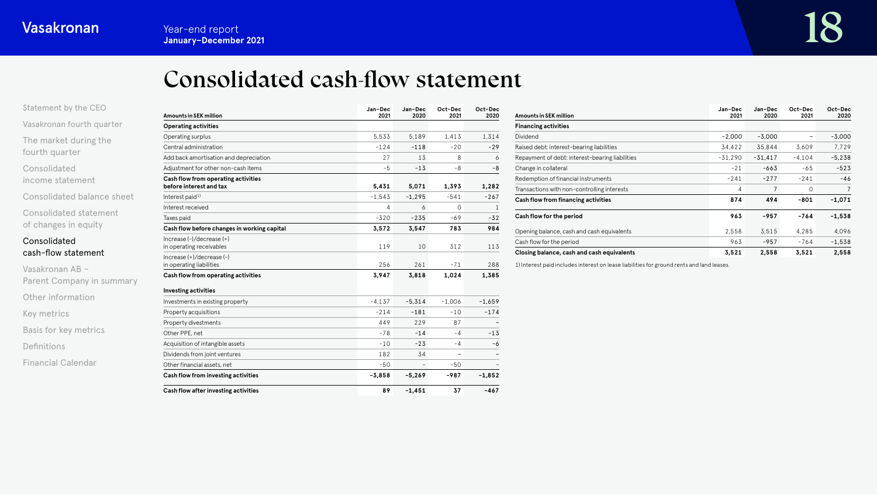# Consolidated cash-flow statement

<span id="page-17-0"></span>

| Statement by the CEO |  |  |  |  |  |
|----------------------|--|--|--|--|--|
|----------------------|--|--|--|--|--|

[Vasakronan fourth quarter](#page-3-0)

[The market during the](#page-4-0)  fourth quarter

Consolidated [income statement](#page-6-0)

[Consolidated balance sheet](#page-11-0)

[Consolidated statement](#page-16-0)  of changes in equity

# Consolidated cash-flow statement

Vasakronan AB – [Parent Company in summary](#page-20-0) [Other information](#page-21-0) [Key metrics](#page-22-0) [Basis for key metrics](#page-23-0) [Definitions](#page-24-0) [Financial Calendar](#page-25-0)

| <b>Amounts in SEK million</b>                                  | Jan-Dec<br>2021 | Jan-Dec<br>2020          | Oct-Dec<br>2021 | Oct-Dec<br>2020 |
|----------------------------------------------------------------|-----------------|--------------------------|-----------------|-----------------|
| <b>Operating activities</b>                                    |                 |                          |                 |                 |
| Operating surplus                                              | 5.533           | 5.189                    | 1.413           | 1.314           |
| Central administration                                         | $-124$          | $-118$                   | $-20$           | $-29$           |
| Add back amortisation and depreciation                         | 27              | 13                       | 8               | 6               |
| Adjustment for other non-cash items                            | $-5$            | $-13$                    | $-8-$           | $-8$            |
| Cash flow from operating activities<br>before interest and tax | 5,431           | 5,071                    | 1,393           | 1,282           |
| Interest paid <sup>1)</sup>                                    | $-1,543$        | $-1,295$                 | $-541$          | $-267$          |
| Interest received                                              | 4               | 6                        | $\circ$         | $\mathbf{1}$    |
| Taxes paid                                                     | $-320$          | $-235$                   | $-69$           | $-32$           |
| Cash flow before changes in working capital                    | 3,572           | 3,547                    | 783             | 984             |
| $Increase (-)/decrease (+)$<br>in operating receivables        | 119             | 10                       | 312             | 113             |
| Increase (+)/decrease (-)<br>in operating liabilities          | 256             | 261                      | $-71$           | 288             |
| Cash flow from operating activities                            | 3,947           | 3,818                    | 1,024           | 1,385           |
| <b>Investing activities</b>                                    |                 |                          |                 |                 |
| Investments in existing property                               | $-4.137$        | $-5.314$                 | $-1.006$        | $-1.659$        |
| Property acquisitions                                          | $-214$          | $-181$                   | $-10$           | $-174$          |
| Property divestments                                           | 449             | 229                      | 87              |                 |
| Other PPE, net                                                 | $-78$           | $-14$                    | -4              | $-13$           |
| Acquisition of intangible assets                               | $-10$           | $-23$                    | -4              | -6              |
| Dividends from joint ventures                                  | 182             | 34                       | -               |                 |
| Other financial assets, net                                    | $-50$           | $\overline{\phantom{a}}$ | $-50$           |                 |
| Cash flow from investing activities                            | $-3,858$        | $-5,269$                 | -987            | $-1,852$        |
| Cash flow after investing activities                           | 89              | $-1,451$                 | 37              | $-467$          |

| <b>Amounts in SEK million</b>                   | Jan-Dec<br>2021 | Jan-Dec<br>2020 | Oct-Dec<br>2021 | Oct-Dec<br>2020 |
|-------------------------------------------------|-----------------|-----------------|-----------------|-----------------|
| <b>Financing activities</b>                     |                 |                 |                 |                 |
| Dividend                                        | $-2.000$        | $-3.000$        |                 | $-3,000$        |
| Raised debt: interest-bearing liabilities       | 34,422          | 35,844          | 3.609           | 7,729           |
| Repayment of debt: interest-bearing liabilities | $-31.290$       | $-31,417$       | $-4.104$        | $-5,238$        |
| Change in collateral                            | $-21$           | $-663$          | $-65$           | $-523$          |
| Redemption of financial instruments             | $-241$          | $-277$          | $-241$          | $-46$           |
| Transactions with non-controlling interests     | 4               | 7               | 0               | 7               |
| Cash flow from financing activities             | 874             | 494             | $-801$          | $-1,071$        |
| Cash flow for the period                        | 963             | $-957$          | $-764$          | $-1,538$        |
| Opening balance, cash and cash equivalents      | 2.558           | 3,515           | 4.285           | 4,096           |
| Cash flow for the period                        | 963             | $-957$          | -764            | $-1,538$        |
| Closing balance, cash and cash equivalents      | 3,521           | 2,558           | 3,521           | 2.558           |

1) Interest paid includes interest on lease liabilities for ground rents and land leases.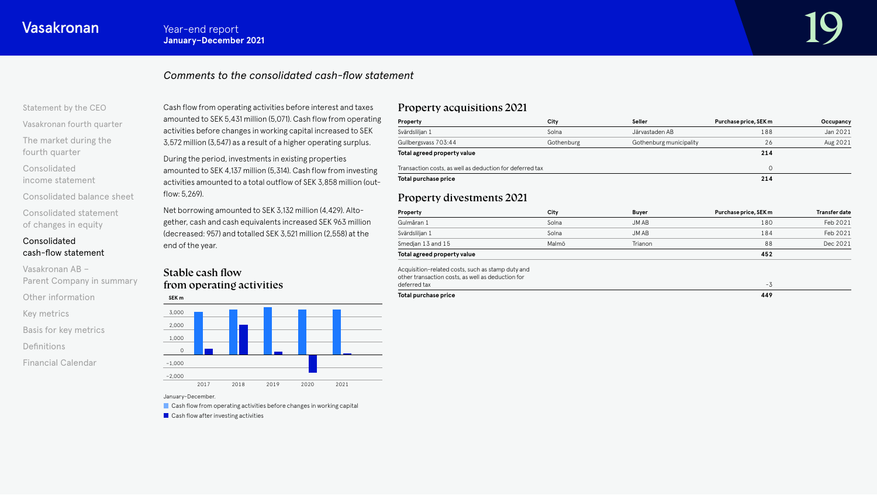# *Comments to the consolidated cash-flow statement*

### [Statement by the CEO](#page-1-0)

[Vasakronan fourth quarter](#page-3-0)

[The market during the](#page-4-0)  fourth quarter

Consolidated [income statement](#page-6-0)

[Consolidated balance sheet](#page-11-0) [Consolidated statement](#page-16-0)  of changes in equity

# Consolidated [cash-flow statement](#page-17-0)

Vasakronan AB – [Parent Company in summary](#page-20-0) [Other information](#page-21-0) [Key metrics](#page-22-0) [Basis for key metrics](#page-23-0) [Definitions](#page-24-0) [Financial Calendar](#page-25-0)

Cash flow from operating activities before interest and taxes amounted to SEK 5,431 million (5,071). Cash flow from operating activities before changes in working capital increased to SEK 3,572 million (3,547) as a result of a higher operating surplus.

During the period, investments in existing properties amounted to SEK 4,137 million (5,314). Cash flow from investing activities amounted to a total outflow of SEK 3,858 million (outflow: 5,269).

Net borrowing amounted to SEK 3,132 million (4,429). Altogether, cash and cash equivalents increased SEK 963 million (decreased: 957) and totalled SEK 3,521 million (2,558) at the end of the year.

# Stable cash flow from operating activities



#### January–December.

 $\blacksquare$  Cash flow from operating activities before changes in working capital

**Cash flow after investing activities** 

# Property acquisitions 2021

| Property                                                 | City       | Seller                  | Purchase price, SEK m | Occupancy |
|----------------------------------------------------------|------------|-------------------------|-----------------------|-----------|
| Svärdsliljan 1                                           | Solna      | Järvastaden AB          | 188                   | Jan 2021  |
| Gullbergsvass 703:44                                     | Gothenburg | Gothenburg municipality | 26                    | Aug 2021  |
| Total agreed property value                              |            |                         | 214                   |           |
| Transaction costs, as well as deduction for deferred tax |            |                         |                       |           |
| Total purchase price                                     |            |                         | 214                   |           |

# Property divestments 2021

| Property                                                                                               | City  | <b>Buyer</b> | Purchase price, SEK m | <b>Transfer date</b> |
|--------------------------------------------------------------------------------------------------------|-------|--------------|-----------------------|----------------------|
| Gulmåran 1                                                                                             | Solna | JM AB        | 180                   | Feb 2021             |
| Svärdsliljan 1                                                                                         | Solna | JM AB        | 184                   | Feb 2021             |
| Smedjan 13 and 15                                                                                      | Malmö | Trianon      | 88                    | Dec 2021             |
| Total agreed property value                                                                            |       |              | 452                   |                      |
| Acquisition-related costs, such as stamp duty and<br>other transaction costs, as well as deduction for |       |              |                       |                      |
| deferred tax                                                                                           |       |              | $-3$                  |                      |
| Total purchase price                                                                                   |       |              | 449                   |                      |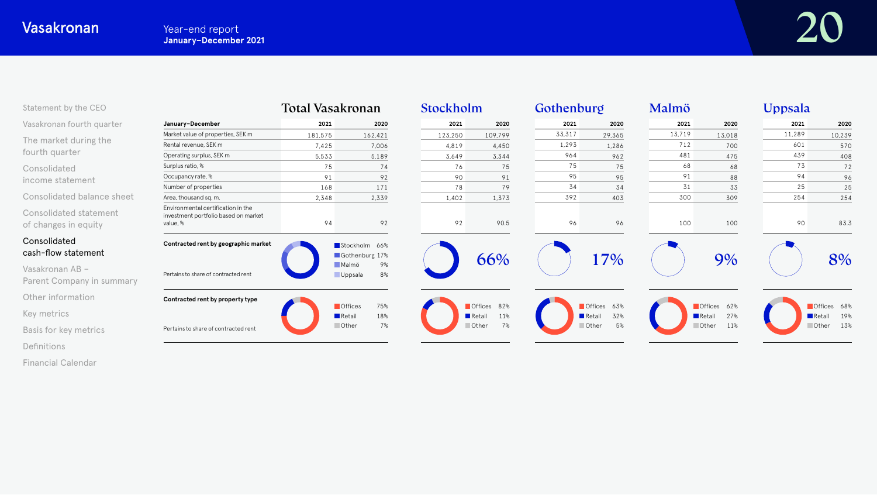| Statement by the CEO                           |                                                                                        | Total Vasakronan |                                                       | Stockholm |                                             | Gothenburg |                            | Malmö  |                                             | Uppsala |                              |
|------------------------------------------------|----------------------------------------------------------------------------------------|------------------|-------------------------------------------------------|-----------|---------------------------------------------|------------|----------------------------|--------|---------------------------------------------|---------|------------------------------|
| Vasakronan fourth quarter                      | January-December                                                                       | 2021             | 2020                                                  | 2021      | 2020                                        | 2021       | 2020                       | 2021   | 2020                                        | 2021    | 2020                         |
|                                                | Market value of properties, SEK m                                                      | 181,575          | 162,421                                               | 123,250   | 109,799                                     | 33,317     | 29,365                     | 13,719 | 13,018                                      | 11,289  | 10,239                       |
| The market during the                          | Rental revenue, SEK m                                                                  | 7,425            | 7,006                                                 | 4,819     | 4,450                                       | 1,293      | 1,286                      | 712    | 700                                         | 601     | 570                          |
| fourth quarter                                 | Operating surplus, SEK m                                                               | 5,533            | 5,189                                                 | 3,649     | 3,344                                       | 964        | 962                        | 481    | 475                                         | 439     | 408                          |
| Consolidated                                   | Surplus ratio, %                                                                       | 75               | 74                                                    | 76        | 75                                          | 75         | 75                         | 68     | 68                                          | 73      | 72                           |
| income statement                               | Occupancy rate, %                                                                      | 91               | 92                                                    | 90        | 91                                          | 95         | 95                         | 91     | 88                                          | 94      | 96                           |
|                                                | Number of properties                                                                   | 168              | 171                                                   | 78        | 79                                          | 34         | 34                         | 31     | 33                                          | 25      | 25                           |
| Consolidated balance sheet                     | Area, thousand sq. m.                                                                  | 2,348            | 2,339                                                 | 1,402     | 1,373                                       | 392        | 403                        | 300    | 309                                         | 254     | 254                          |
| Consolidated statement<br>of changes in equity | Environmental certification in the<br>investment portfolio based on market<br>value, % | 94               | 92                                                    | 92        | 90.5                                        | 96         | 96                         | 100    | 100                                         | 90      | 83.3                         |
| Consolidated<br>cash-flow statement            | Contracted rent by geographic market                                                   |                  | Stockholm 66%<br>Gothenburg 17%                       |           | 66%                                         |            | 17%                        |        | 9%                                          |         | 8%                           |
| Vasakronan AB -<br>Parent Company in summary   | Pertains to share of contracted rent                                                   |                  | Malmö<br>9%<br>8%<br><b>Uppsala</b>                   |           |                                             |            |                            |        |                                             |         |                              |
| Other information                              | Contracted rent by property type                                                       |                  |                                                       |           |                                             |            |                            |        |                                             |         |                              |
| Key metrics                                    |                                                                                        |                  | <b>Offices</b><br>75%<br>$\blacksquare$ Retail<br>18% |           | Offices 82%<br>$\blacksquare$ Retail<br>11% |            | Offices 63%<br>32%<br>Reta |        | Offices 62%<br>27%<br>$\blacksquare$ Retail |         | Offices 68%<br>19%<br>Retail |
| Basis for key metrics                          | Pertains to share of contracted rent                                                   |                  | Other<br>7%                                           |           | 7%<br>Other                                 |            | 5%<br>Other                |        | <b>Other</b><br>11%                         |         | 13%<br><b>Other</b>          |
| Definitions                                    |                                                                                        |                  |                                                       |           |                                             |            |                            |        |                                             |         |                              |

[Financial Calendar](#page-25-0)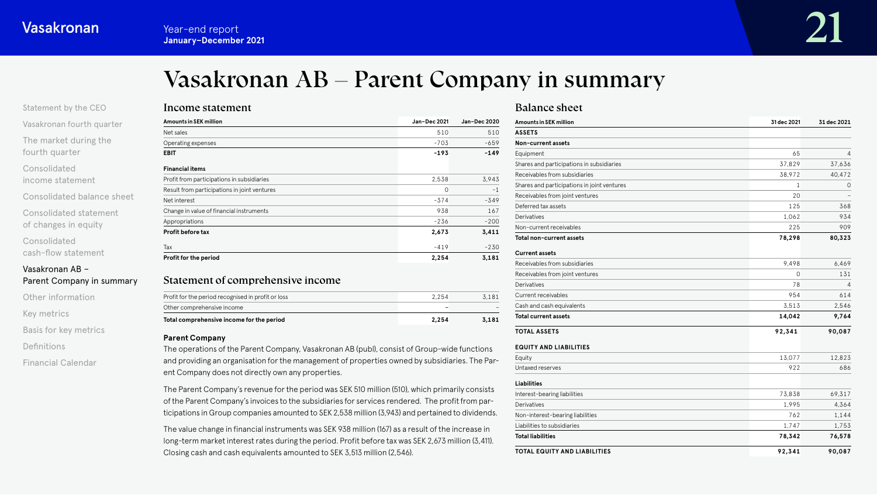# Vasakronan AB – Parent Company in summary

<span id="page-20-0"></span>

| Statement by the CEO      |  |
|---------------------------|--|
| Vasakronan fourth quarter |  |

[The market during the](#page-4-0)  fourth quarter

Consolidated

[income statement](#page-6-0)

[Consolidated balance sheet](#page-11-0)

[Consolidated statement](#page-16-0)  of changes in equity

Consolidated [cash-flow statement](#page-17-0)

Vasakronan AB – Parent Company in summary

[Other information](#page-21-0)

[Key metrics](#page-22-0)

[Basis for key metrics](#page-23-0)

[Definitions](#page-24-0)

[Financial Calendar](#page-25-0)

| Income statement       |  |
|------------------------|--|
| Amounts in SEK million |  |

| Amounts in SEK million                       | Jan-Dec 2021 | Jan-Dec 2020 |
|----------------------------------------------|--------------|--------------|
| Net sales                                    | 510          | 510          |
| Operating expenses                           | $-703$       | $-659$       |
| EBIT                                         | $-193$       | $-149$       |
| Financial items                              |              |              |
| Profit from participations in subsidiaries   | 2,538        | 3,943        |
| Result from participations in joint ventures | $\circ$      | $-1$         |
| Net interest                                 | $-374$       | $-349$       |
| Change in value of financial instruments     | 938          | 167          |
| Appropriations                               | $-236$       | $-200$       |
| Profit before tax                            | 2,673        | 3,411        |
| Tax                                          | $-419$       | $-230$       |
| Profit for the period                        | 2,254        | 3,181        |

# Statement of comprehensive income

| Total comprehensive income for the period<br>2.254         | 3.181 |
|------------------------------------------------------------|-------|
| Other comprehensive income                                 |       |
| Profit for the period recognised in profit or loss<br>2254 | 3.181 |
|                                                            |       |

### **Parent Company**

The operations of the Parent Company, Vasakronan AB (publ), consist of Group-wide functions and providing an organisation for the management of properties owned by subsidiaries. The Parent Company does not directly own any properties.

The Parent Company's revenue for the period was SEK 510 million (510), which primarily consists of the Parent Company's invoices to the subsidiaries for services rendered. The profit from participations in Group companies amounted to SEK 2,538 million (3,943) and pertained to dividends.

The value change in financial instruments was SEK 938 million (167) as a result of the increase in long-term market interest rates during the period. Profit before tax was SEK 2,673 million (3,411). Closing cash and cash equivalents amounted to SEK 3,513 million (2,546).

# Balance sheet

| Amounts in SEK million                      | 31 dec 2021  | 31 dec 2021 |
|---------------------------------------------|--------------|-------------|
| <b>ASSETS</b>                               |              |             |
| Non-current assets                          |              |             |
| Equipment                                   | 65           | 4           |
| Shares and participations in subsidiaries   | 37,829       | 37,636      |
| Receivables from subsidiaries               | 38,972       | 40,472      |
| Shares and participations in joint ventures | $\mathbf{1}$ | 0           |
| Receivables from joint ventures             | 20           |             |
| Deferred tax assets                         | 125          | 368         |
| Derivatives                                 | 1,062        | 934         |
| Non-current receivables                     | 225          | 909         |
| Total non-current assets                    | 78,298       | 80,323      |
| <b>Current assets</b>                       |              |             |
| Receivables from subsidiaries               | 9.498        | 6.469       |
| Receivables from joint ventures             | $\Omega$     | 131         |
| Derivatives                                 | 78           | 4           |
| <b>Current receivables</b>                  | 954          | 614         |
| Cash and cash equivalents                   | 3,513        | 2,546       |
| <b>Total current assets</b>                 | 14,042       | 9,764       |
| <b>TOTAL ASSETS</b>                         | 92,341       | 90,087      |
| <b>EQUITY AND LIABILITIES</b>               |              |             |
| Equity                                      | 13,077       | 12,823      |
| Untaxed reserves                            | 922          | 686         |
| Liabilities                                 |              |             |
| Interest-bearing liabilities                | 73,838       | 69,317      |
| Derivatives                                 | 1,995        | 4,364       |
| Non-interest-bearing liabilities            | 762          | 1,144       |
| Liabilities to subsidiaries                 | 1,747        | 1,753       |
| <b>Total liabilities</b>                    | 78,342       | 76,578      |
| TOTAL EQUITY AND LIABILITIES                | 92,341       | 90,087      |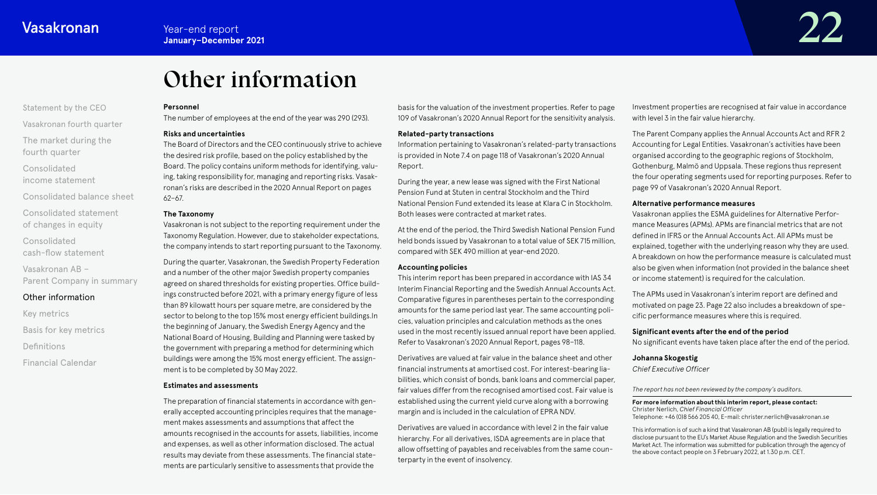# Other information

#### <span id="page-21-0"></span>[Statement by the CEO](#page-1-0)

[Vasakronan fourth quarter](#page-3-0)

[The market during the](#page-4-0)  fourth quarter

Consolidated [income statement](#page-6-0)

[Consolidated balance sheet](#page-11-0)

[Consolidated statement](#page-16-0)  of changes in equity

Consolidated [cash-flow statement](#page-17-0)

Vasakronan AB – [Parent Company in summary](#page-20-0)

# Other information

[Key metrics](#page-22-0) [Basis for key metrics](#page-23-0) [Definitions](#page-24-0) [Financial Calendar](#page-25-0)

#### **Personnel**

The number of employees at the end of the year was 290 (293).

#### **Risks and uncertainties**

The Board of Directors and the CEO continuously strive to achieve the desired risk profile, based on the policy established by the Board. The policy contains uniform methods for identifying, valuing, taking responsibility for, managing and reporting risks. Vasakronan's risks are described in the 2020 Annual Report on pages 62–67.

#### **The Taxonomy**

Vasakronan is not subject to the reporting requirement under the Taxonomy Regulation. However, due to stakeholder expectations, the company intends to start reporting pursuant to the Taxonomy.

During the quarter, Vasakronan, the Swedish Property Federation and a number of the other major Swedish property companies agreed on shared thresholds for existing properties. Office buildings constructed before 2021, with a primary energy figure of less than 89 kilowatt hours per square metre, are considered by the sector to belong to the top 15% most energy efficient buildings.In the beginning of January, the Swedish Energy Agency and the National Board of Housing, Building and Planning were tasked by the government with preparing a method for determining which buildings were among the 15% most energy efficient. The assignment is to be completed by 30 May 2022.

#### **Estimates and assessments**

The preparation of financial statements in accordance with generally accepted accounting principles requires that the management makes assessments and assumptions that affect the amounts recognised in the accounts for assets, liabilities, income and expenses, as well as other information disclosed. The actual results may deviate from these assessments. The financial statements are particularly sensitive to assessments that provide the

basis for the valuation of the investment properties. Refer to page 109 of Vasakronan's 2020 Annual Report for the sensitivity analysis.

#### **Related-party transactions**

Information pertaining to Vasakronan's related-party transactions is provided in Note 7.4 on page 118 of Vasakronan's 2020 Annual Report.

During the year, a new lease was signed with the First National Pension Fund at Stuten in central Stockholm and the Third National Pension Fund extended its lease at Klara C in Stockholm. Both leases were contracted at market rates.

At the end of the period, the Third Swedish National Pension Fund held bonds issued by Vasakronan to a total value of SEK 715 million, compared with SEK 490 million at year-end 2020.

### **Accounting policies**

This interim report has been prepared in accordance with IAS 34 Interim Financial Reporting and the Swedish Annual Accounts Act. Comparative figures in parentheses pertain to the corresponding amounts for the same period last year. The same accounting policies, valuation principles and calculation methods as the ones used in the most recently issued annual report have been applied. Refer to Vasakronan's 2020 Annual Report, pages 98–118.

Derivatives are valued at fair value in the balance sheet and other financial instruments at amortised cost. For interest-bearing liabilities, which consist of bonds, bank loans and commercial paper, fair values differ from the recognised amortised cost. Fair value is established using the current yield curve along with a borrowing margin and is included in the calculation of EPRA NDV.

Derivatives are valued in accordance with level 2 in the fair value hierarchy. For all derivatives, ISDA agreements are in place that allow offsetting of payables and receivables from the same counterparty in the event of insolvency.

Investment properties are recognised at fair value in accordance with level 3 in the fair value hierarchy.

The Parent Company applies the Annual Accounts Act and RFR 2 Accounting for Legal Entities. Vasakronan's activities have been organised according to the geographic regions of Stockholm, Gothenburg, Malmö and Uppsala. These regions thus represent the four operating segments used for reporting purposes. Refer to page 99 of Vasakronan's 2020 Annual Report.

#### **Alternative performance measures**

Vasakronan applies the ESMA guidelines for Alternative Performance Measures (APMs). APMs are financial metrics that are not defined in IFRS or the Annual Accounts Act. All APMs must be explained, together with the underlying reason why they are used. A breakdown on how the performance measure is calculated must also be given when information (not provided in the balance sheet or income statement) is required for the calculation.

The APMs used in Vasakronan's interim report are defined and motivated on page 23. Page 22 also includes a breakdown of specific performance measures where this is required.

#### **Significant events after the end of the period**

No significant events have taken place after the end of the period.

#### **Johanna Skogestig**

*Chief Executive Officer*

*The report has not been reviewed by the company's auditors.*

#### **For more information about this interim report, please contact:** Christer Nerlich, *Chief Financial Officer* Telephone: +46 (0)8 566 205 40, E-mail: christer.nerlich@vasakronan.se

This information is of such a kind that Vasakronan AB (publ) is legally required to disclose pursuant to the EU's Market Abuse Regulation and the Swedish Securities Market Act. The information was submitted for publication through the agency of the above contact people on 3 February 2022, at 1.30 p.m. CET.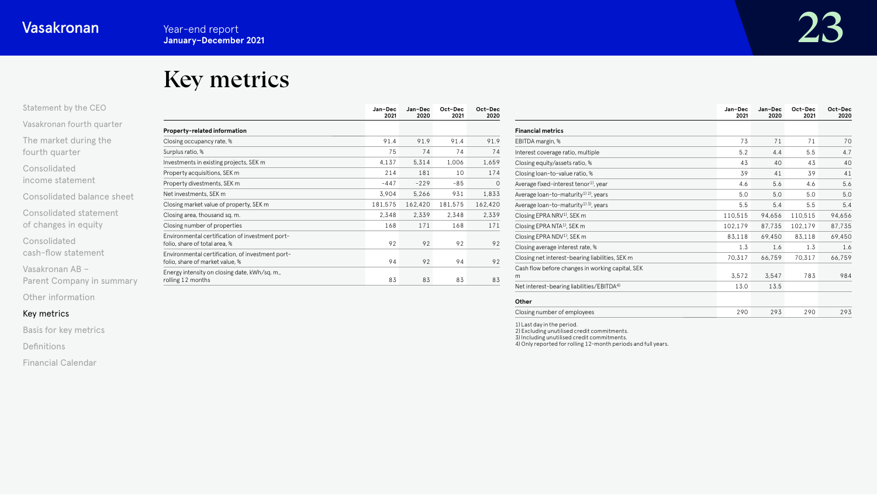# Key metrics

<span id="page-22-0"></span>

| Statement by the CEO |  |
|----------------------|--|
|                      |  |

[Vasakronan fourth quarter](#page-3-0)

[The market during the](#page-4-0)  fourth quarter

Consolidated [income statement](#page-6-0)

[Consolidated balance sheet](#page-11-0)

[Consolidated statement](#page-16-0)  of changes in equity

Consolidated [cash-flow statement](#page-17-0)

Vasakronan AB –

[Parent Company in summary](#page-20-0)

[Other information](#page-21-0)

# Key metrics

[Basis for key metrics](#page-23-0)

[Definitions](#page-24-0)

[Financial Calendar](#page-25-0)

|                                                                                     | Jan-Dec<br>2021 | Jan-Dec<br>2020 | Oct-Dec<br>2021 | Oct-Dec<br>2020 |
|-------------------------------------------------------------------------------------|-----------------|-----------------|-----------------|-----------------|
| Property-related information                                                        |                 |                 |                 |                 |
| Closing occupancy rate, %                                                           | 91.4            | 91.9            | 91.4            | 91.9            |
| Surplus ratio, %                                                                    | 75              | 74              | 74              | 74              |
| Investments in existing projects, SEK m                                             | 4,137           | 5,314           | 1,006           | 1,659           |
| Property acquisitions, SEK m                                                        | 214             | 181             | 10              | 174             |
| Property divestments, SEK m                                                         | $-447$          | $-229$          | $-85$           | 0               |
| Net investments, SEK m                                                              | 3,904           | 5,266           | 931             | 1,833           |
| Closing market value of property, SEK m                                             | 181,575         | 162,420         | 181,575         | 162,420         |
| Closing area, thousand sq. m.                                                       | 2.348           | 2,339           | 2,348           | 2,339           |
| Closing number of properties                                                        | 168             | 171             | 168             | 171             |
| Environmental certification of investment port-<br>folio, share of total area, %    | 92              | 92              | 92              | 92              |
| Environmental certification, of investment port-<br>folio, share of market value, % | 94              | 92              | 94              | 92              |
| Energy intensity on closing date, kWh/sq. m.,<br>rolling 12 months                  | 83              | 83              | 83              | 83              |

|                                                             | Jan-Dec<br>2021 | Jan-Dec<br>2020 | Oct-Dec<br>2021 | Oct-Dec<br>2020 |
|-------------------------------------------------------------|-----------------|-----------------|-----------------|-----------------|
| <b>Financial metrics</b>                                    |                 |                 |                 |                 |
| EBITDA margin, %                                            | 73              | 71              | 71              | 70              |
| Interest coverage ratio, multiple                           | 5.2             | 4.4             | 5.5             | 4.7             |
| Closing equity/assets ratio, %                              | 43              | 40              | 43              | 40              |
| Closing loan-to-value ratio, %                              | 39              | 41              | 39              | 41              |
| Average fixed-interest tenor <sup>1</sup> , year            | 4.6             | 5.6             | 4.6             | 5.6             |
| Average loan-to-maturity <sup>1) 2)</sup> , years           | 5.0             | 5.0             | 5.0             | 5.0             |
| Average loan-to-maturity <sup>1)</sup> <sup>3</sup> , years | 5.5             | 5.4             | 5.5             | 5.4             |
| Closing EPRA NRV <sup>1)</sup> , SEK m                      | 110,515         | 94,656          | 110,515         | 94,656          |
| Closing EPRA NTA <sup>1)</sup> , SEK m                      | 102,179         | 87.735          | 102,179         | 87,735          |
| Closing EPRA NDV <sup>1)</sup> , SEK m                      | 83,118          | 69,450          | 83,118          | 69,450          |
| Closing average interest rate, %                            | 1.3             | 1.6             | 1.3             | 1.6             |
| Closing net interest-bearing liabilities, SEK m             | 70,317          | 66,759          | 70,317          | 66,759          |
| Cash flow before changes in working capital, SEK<br>m       | 3,572           | 3,547           | 783             | 984             |
| Net interest-bearing liabilities/EBITDA <sup>4)</sup>       | 13.0            | 13.5            |                 |                 |
| Other                                                       |                 |                 |                 |                 |

| Closing number of employees<br><u>، ن</u> |
|-------------------------------------------|
|-------------------------------------------|

1) Last day in the period. 2) Excluding unutilised credit commitments.

3) Including unutilised credit commitments. 4) Only reported for rolling 12-month periods and full years.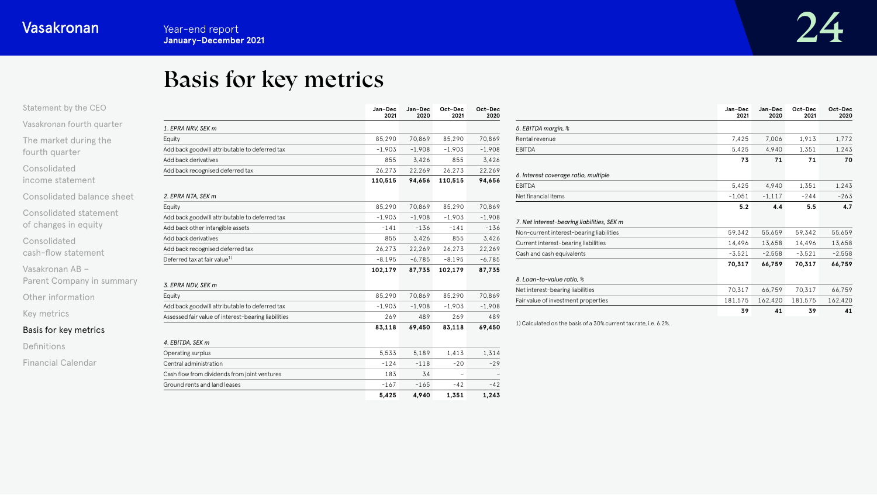# Basis for key metrics

<span id="page-23-0"></span>

| Statement by the CEO             |                                                     |  |  |
|----------------------------------|-----------------------------------------------------|--|--|
| Vasakronan fourth quarter        | 1. EPRA NRV, SEK m                                  |  |  |
| The market during the            | Equity                                              |  |  |
| fourth quarter                   | Add back goodwill attributable to deferred tax      |  |  |
|                                  | Add back derivatives                                |  |  |
| Consolidated<br>income statement | Add back recognised deferred tax                    |  |  |
| Consolidated balance sheet       | 2. EPRA NTA, SEK m                                  |  |  |
|                                  | Equity                                              |  |  |
| Consolidated statement           | Add back goodwill attributable to deferred tax      |  |  |
| of changes in equity             | Add back other intangible assets                    |  |  |
| Consolidated                     | Add back derivatives                                |  |  |
| cash-flow statement              | Add back recognised deferred tax                    |  |  |
|                                  | Deferred tax at fair value <sup>1)</sup>            |  |  |
| Vasakronan AB -                  |                                                     |  |  |
| Parent Company in summary        | 3. EPRA NDV, SEK m                                  |  |  |
| Other information                | Equity                                              |  |  |
|                                  | Add back goodwill attributable to deferred tax      |  |  |
| Key metrics                      | Assessed fair value of interest-bearing liabilities |  |  |
| Basis for key metrics            |                                                     |  |  |
| Definitions                      | 4. EBITDA, SEK m                                    |  |  |
|                                  | Operating surplus                                   |  |  |
| Financial Calendar               | Central administration                              |  |  |
|                                  | Cash flow from dividends from joint ventures        |  |  |

|                                                     | Jan-Dec<br>2021 | Jan-Dec<br>2020 | Oct-Dec<br>2021 | Oct-Dec<br>2020 |
|-----------------------------------------------------|-----------------|-----------------|-----------------|-----------------|
| 1. EPRA NRV, SEK m                                  |                 |                 |                 |                 |
| Equity                                              | 85,290          | 70.869          | 85,290          | 70.869          |
| Add back goodwill attributable to deferred tax      | $-1.903$        | $-1.908$        | $-1.903$        | $-1.908$        |
| Add back derivatives                                | 855             | 3,426           | 855             | 3.426           |
| Add back recognised deferred tax                    | 26,273          | 22,269          | 26,273          | 22,269          |
|                                                     | 110,515         | 94,656          | 110,515         | 94,656          |
| 2. EPRA NTA, SEK m                                  |                 |                 |                 |                 |
| Equity                                              | 85,290          | 70,869          | 85,290          | 70,869          |
| Add back goodwill attributable to deferred tax      | $-1,903$        | $-1,908$        | $-1,903$        | $-1.908$        |
| Add back other intangible assets                    | $-141$          | $-136$          | $-141$          | $-136$          |
| Add back derivatives                                | 855             | 3,426           | 855             | 3,426           |
| Add back recognised deferred tax                    | 26,273          | 22,269          | 26,273          | 22,269          |
| Deferred tax at fair value <sup>1)</sup>            | $-8,195$        | $-6,785$        | $-8,195$        | $-6,785$        |
|                                                     | 102,179         | 87,735          | 102,179         | 87,735          |
| 3. EPRA NDV, SEK m                                  |                 |                 |                 |                 |
| Equity                                              | 85,290          | 70.869          | 85,290          | 70.869          |
| Add back goodwill attributable to deferred tax      | $-1.903$        | $-1.908$        | $-1.903$        | $-1.908$        |
| Assessed fair value of interest-bearing liabilities | 269             | 489             | 269             | 489             |
|                                                     | 83,118          | 69,450          | 83,118          | 69,450          |
| 4. EBITDA, SEK m                                    |                 |                 |                 |                 |
| Operating surplus                                   | 5,533           | 5,189           | 1,413           | 1,314           |
| Central administration                              | $-124$          | $-118$          | $-20$           | $-29$           |
| Cash flow from dividends from joint ventures        | 183             | 34              |                 |                 |
| Ground rents and land leases                        | $-167$          | $-165$          | $-42$           | $-42$           |
|                                                     | 5,425           | 4,940           | 1,351           | 1,243           |

|                                            | Jan-Dec<br>2021 | Jan-Dec<br>2020 | Oct-Dec<br>2021 | Oct-Dec<br>2020 |
|--------------------------------------------|-----------------|-----------------|-----------------|-----------------|
| 5. EBITDA margin, %                        |                 |                 |                 |                 |
| Rental revenue                             | 7,425           | 7.006           | 1,913           | 1,772           |
| <b>EBITDA</b>                              | 5,425           | 4.940           | 1.351           | 1,243           |
|                                            | 73              | 71              | 71              | 70              |
| 6. Interest coverage ratio, multiple       |                 |                 |                 |                 |
| EBITDA                                     | 5.425           | 4.940           | 1.351           | 1,243           |
| Net financial items                        | $-1,051$        | $-1, 117$       | $-244$          | $-263$          |
|                                            | 5.2             | 4.4             | 5.5             | 4.7             |
| 7. Net interest-bearing liabilities, SEK m |                 |                 |                 |                 |
| Non-current interest-bearing liabilities   | 59,342          | 55,659          | 59,342          | 55,659          |
| Current interest-bearing liabilities       | 14,496          | 13,658          | 14,496          | 13,658          |
| Cash and cash equivalents                  | $-3,521$        | $-2,558$        | $-3,521$        | $-2,558$        |
|                                            | 70,317          | 66,759          | 70,317          | 66,759          |
| 8. Loan-to-value ratio, %                  |                 |                 |                 |                 |
| Net interest-bearing liabilities           | 70,317          | 66,759          | 70.317          | 66,759          |
| Fair value of investment properties        | 181,575         | 162,420         | 181,575         | 162,420         |
|                                            | 39              | 41              | 39              | 41              |

1) Calculated on the basis of a 30% current tax rate, i.e. 6.2%.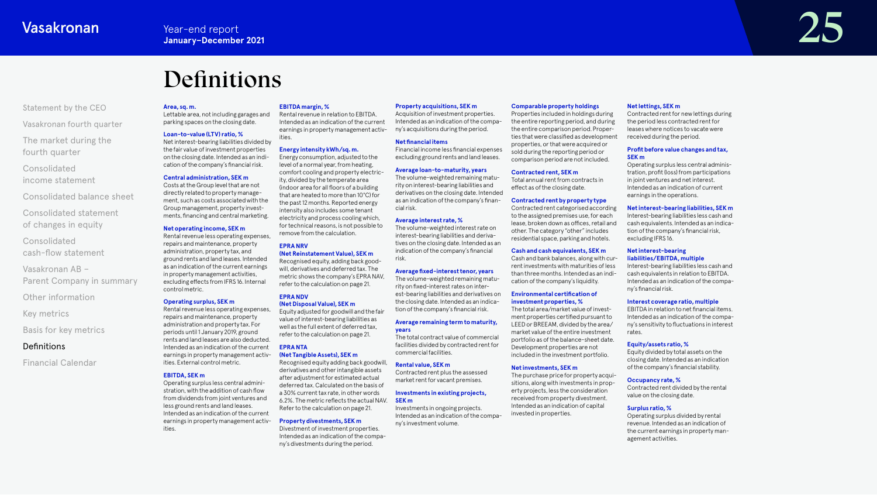# Definitions

#### <span id="page-24-0"></span>[Statement by the CEO](#page-1-0)

[Vasakronan fourth quarter](#page-3-0)

[The market during the](#page-4-0)  fourth quarter

Consolidated [income statement](#page-6-0)

[Consolidated balance sheet](#page-11-0)

[Consolidated statement](#page-16-0)  of changes in equity

Consolidated [cash-flow statement](#page-17-0)

Vasakronan AB – [Parent Company in summary](#page-20-0)

[Other information](#page-21-0)

[Key metrics](#page-22-0)

[Basis for key metrics](#page-23-0)

### Definitions

[Financial Calendar](#page-25-0)

#### **Area, sq. m.**

Lettable area, not including garages and parking spaces on the closing date.

#### **Loan-to-value (LTV) ratio, %**

Net interest-bearing liabilities divided by the fair value of investment properties on the closing date. Intended as an indication of the company's financial risk. Energy consumption, adjusted to the level of a normal year, from heating, comfort cooling and property electric-

#### **Central administration, SEK m**

Costs at the Group level that are not directly related to property management, such as costs associated with the Group management, property investments, financing and central marketing.

#### **Net operating income, SEK m**

Rental revenue less operating expenses, repairs and maintenance, property administration, property tax, and ground rents and land leases. Intended as an indication of the current earnings in property management activities, excluding effects from IFRS 16. Internal control metric. remove from the calculation. **EPRA NRV (Net Reinstatement Value), SEK m** Recognised equity, adding back goodwill, derivatives and deferred tax. The metric shows the company's EPRA NAV, refer to the calculation on page 21.

#### **Operating surplus, SEK m**

Rental revenue less operating expenses, repairs and maintenance, property administration and property tax. For periods until 1 January 2019, ground rents and land leases are also deducted. Intended as an indication of the current earnings in property management activities. External control metric. **(Net Disposal Value), SEK m**  Equity adjusted for goodwill and the fair value of interest-bearing liabilities as well as the full extent of deferred tax, refer to the calculation on page 21. **EPRA NTA (Net Tangible Assets), SEK m** Recognised equity adding back goodwill, derivatives and other intangible assets

#### **EBITDA, SEK m**

Operating surplus less central administration, with the addition of cash flow from dividends from joint ventures and less ground rents and land leases. Intended as an indication of the current earnings in property management activities.

#### **EBITDA margin, %**

Rental revenue in relation to EBITDA. Intended as an indication of the current earnings in property management activities.

ity, divided by the temperate area (indoor area for all floors of a building that are heated to more than 10°C) for the past 12 months. Reported energy intensity also includes some tenant electricity and process cooling which, for technical reasons, is not possible to

after adjustment for estimated actual deferred tax. Calculated on the basis of a 30% current tax rate, in other words 6.2%. The metric reflects the actual NAV. Refer to the calculation on page 21. **Property divestments, SEK m**  Divestment of investment properties. Intended as an indication of the company's divestments during the period.

**EPRA NDV** 

# **Energy intensity kWh/sq. m.**

Financial income less financial expenses excluding ground rents and land leases.

**Net nancial items** 

**Property acquisitions, SEK m**  Acquisition of investment properties. Intended as an indication of the company's acquisitions during the period.

#### **Average loan-to-maturity, years**

The volume-weighted remaining maturity on interest-bearing liabilities and derivatives on the closing date. Intended as an indication of the company's financial risk.

#### **Average interest rate, %**

The volume-weighted interest rate on interest-bearing liabilities and derivatives on the closing date. Intended as an indication of the company's financial risk.

#### **Average xed-interest tenor, years**

The volume-weighted remaining maturity on fixed-interest rates on interest-bearing liabilities and derivatives on the closing date. Intended as an indication of the company's financial risk.

#### **Average remaining term to maturity, years**

The total contract value of commercial facilities divided by contracted rent for commercial facilities.

#### **Rental value, SEK m**

Contracted rent plus the assessed market rent for vacant premises.

#### **Investments in existing projects, SEK m**

Investments in ongoing projects. Intended as an indication of the company's investment volume.

#### **Comparable property holdings**

Properties included in holdings during the entire reporting period, and during the entire comparison period. Properties that were classified as development properties, or that were acquired or sold during the reporting period or comparison period are not included.

#### **Contracted rent, SEK m**

Total annual rent from contracts in effect as of the closing date.

#### **Contracted rent by property type**

Contracted rent categorised according to the assigned premises use, for each lease, broken down as offices, retail and other. The category "other" includes residential space, parking and hotels.

#### **Cash and cash equivalents, SEK m**

Cash and bank balances, along with current investments with maturities of less than three months. Intended as an indication of the company's liquidity.

#### **Environmental certification of investment properties, %**

The total area/market value of investment properties certified pursuant to LEED or BREEAM, divided by the area/ market value of the entire investment portfolio as of the balance-sheet date. Development properties are not included in the investment portfolio.

#### **Net investments, SEK m**

The purchase price for property acquisitions, along with investments in property projects, less the consideration received from property divestment. Intended as an indication of capital invested in properties.

#### **Net lettings, SEK m**

Contracted rent for new lettings during the period less contracted rent for leases where notices to vacate were received during the period.

#### **Profit before value changes and tax. SEK m**

Operating surplus less central administration, profit (loss) from participations in joint ventures and net interest. Intended as an indication of current earnings in the operations.

#### **Net interest-bearing liabilities, SEK m**

Interest-bearing liabilities less cash and cash equivalents. Intended as an indication of the company's financial risk, excluding IFRS 16.

#### **Net interest-bearing liabilities/EBITDA, multiple**

Interest-bearing liabilities less cash and cash equivalents in relation to EBITDA. Intended as an indication of the company's financial risk.

#### **Interest coverage ratio, multiple**

EBITDA in relation to net financial items. Intended as an indication of the company's sensitivity to fluctuations in interest rates.

#### **Equity/assets ratio, %**

Equity divided by total assets on the closing date. Intended as an indication of the company's financial stability.

#### **Occupancy rate, %**

Contracted rent divided by the rental value on the closing date.

#### **Surplus ratio, %**

Operating surplus divided by rental revenue. Intended as an indication of the current earnings in property management activities.